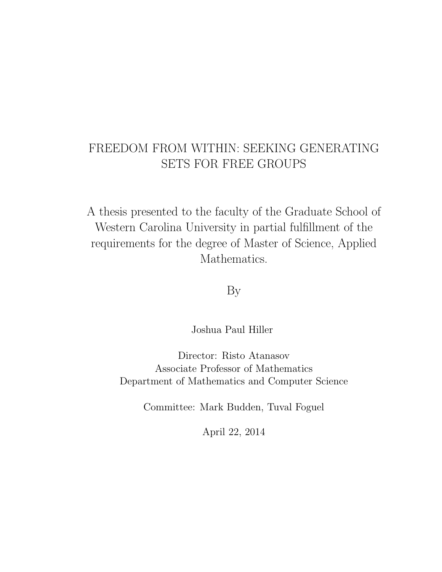# FREEDOM FROM WITHIN: SEEKING GENERATING SETS FOR FREE GROUPS

A thesis presented to the faculty of the Graduate School of Western Carolina University in partial fulfillment of the requirements for the degree of Master of Science, Applied Mathematics.

By

Joshua Paul Hiller

Director: Risto Atanasov Associate Professor of Mathematics Department of Mathematics and Computer Science

Committee: Mark Budden, Tuval Foguel

April 22, 2014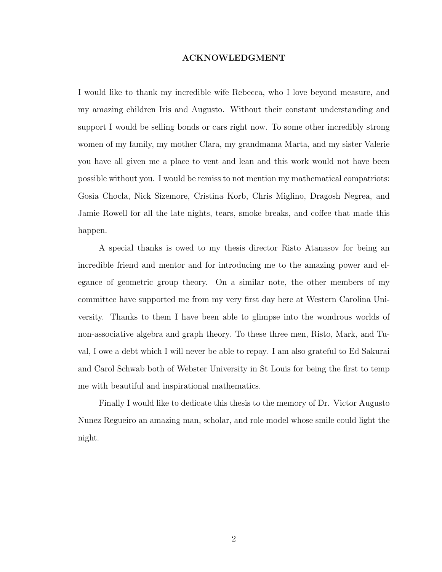#### ACKNOWLEDGMENT

I would like to thank my incredible wife Rebecca, who I love beyond measure, and my amazing children Iris and Augusto. Without their constant understanding and support I would be selling bonds or cars right now. To some other incredibly strong women of my family, my mother Clara, my grandmama Marta, and my sister Valerie you have all given me a place to vent and lean and this work would not have been possible without you. I would be remiss to not mention my mathematical compatriots: Gosia Chocla, Nick Sizemore, Cristina Korb, Chris Miglino, Dragosh Negrea, and Jamie Rowell for all the late nights, tears, smoke breaks, and coffee that made this happen.

A special thanks is owed to my thesis director Risto Atanasov for being an incredible friend and mentor and for introducing me to the amazing power and elegance of geometric group theory. On a similar note, the other members of my committee have supported me from my very first day here at Western Carolina University. Thanks to them I have been able to glimpse into the wondrous worlds of non-associative algebra and graph theory. To these three men, Risto, Mark, and Tuval, I owe a debt which I will never be able to repay. I am also grateful to Ed Sakurai and Carol Schwab both of Webster University in St Louis for being the first to temp me with beautiful and inspirational mathematics.

Finally I would like to dedicate this thesis to the memory of Dr. Victor Augusto Nunez Regueiro an amazing man, scholar, and role model whose smile could light the night.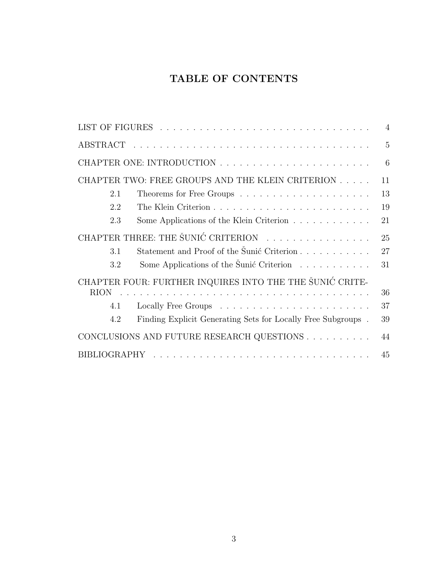# TABLE OF CONTENTS

|                                                  |                                                                                                                 | $\overline{4}$ |
|--------------------------------------------------|-----------------------------------------------------------------------------------------------------------------|----------------|
|                                                  |                                                                                                                 | $\overline{5}$ |
|                                                  |                                                                                                                 | 6              |
| CHAPTER TWO: FREE GROUPS AND THE KLEIN CRITERION |                                                                                                                 | 11             |
| 2.1                                              |                                                                                                                 | 13             |
| 2.2                                              |                                                                                                                 | 19             |
| 2.3                                              | Some Applications of the Klein Criterion $\ldots \ldots \ldots \ldots$                                          | 21             |
| CHAPTER THREE: THE ŠUNIĆ CRITERION               |                                                                                                                 | 25             |
| 3.1                                              | Statement and Proof of the Šunić Criterion                                                                      | 27             |
| 3.2                                              | Some Applications of the Sunic Criterion                                                                        | 31             |
|                                                  | CHAPTER FOUR: FURTHER INQUIRES INTO THE THE SUNIC CRITE-                                                        |                |
| <b>RION</b>                                      | and a construction of the construction of the construction of the construction of the construction of the const | 36             |
| 4.1                                              |                                                                                                                 | 37             |
| 4.2                                              | Finding Explicit Generating Sets for Locally Free Subgroups.                                                    | 39             |
| CONCLUSIONS AND FUTURE RESEARCH QUESTIONS        |                                                                                                                 | 44             |
|                                                  |                                                                                                                 | 45             |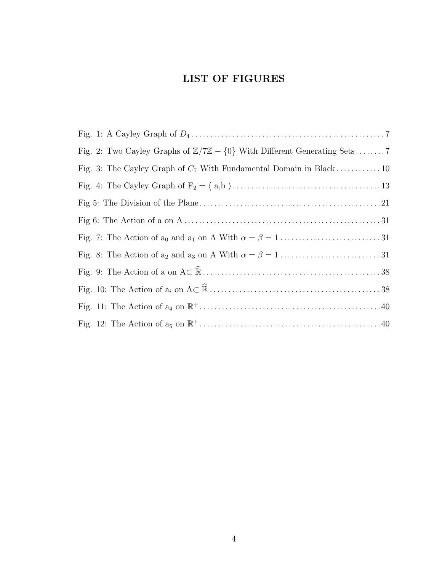# LIST OF FIGURES

| Fig. 2: Two Cayley Graphs of $\mathbb{Z}/7\mathbb{Z} - \{0\}$ With Different Generating Sets |
|----------------------------------------------------------------------------------------------|
|                                                                                              |
|                                                                                              |
|                                                                                              |
|                                                                                              |
|                                                                                              |
|                                                                                              |
|                                                                                              |
|                                                                                              |
|                                                                                              |
|                                                                                              |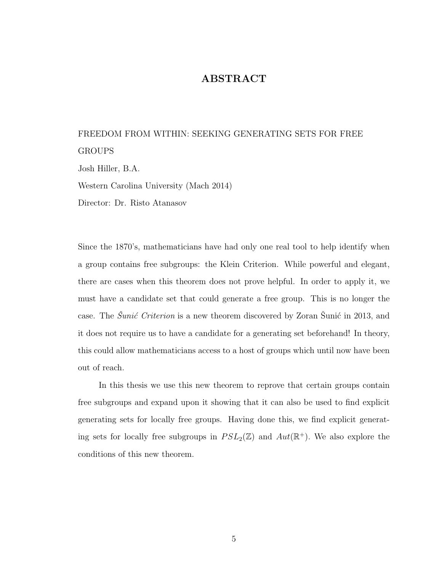## ABSTRACT

# FREEDOM FROM WITHIN: SEEKING GENERATING SETS FOR FREE GROUPS

Josh Hiller, B.A.

Western Carolina University (Mach 2014)

Director: Dr. Risto Atanasov

Since the 1870's, mathematicians have had only one real tool to help identify when a group contains free subgroups: the Klein Criterion. While powerful and elegant, there are cases when this theorem does not prove helpful. In order to apply it, we must have a candidate set that could generate a free group. This is no longer the case. The  $\mathcal{S}_{unif}$  Criterion is a new theorem discovered by Zoran Sunic in 2013, and it does not require us to have a candidate for a generating set beforehand! In theory, this could allow mathematicians access to a host of groups which until now have been out of reach.

In this thesis we use this new theorem to reprove that certain groups contain free subgroups and expand upon it showing that it can also be used to find explicit generating sets for locally free groups. Having done this, we find explicit generating sets for locally free subgroups in  $PSL_2(\mathbb{Z})$  and  $Aut(\mathbb{R}^+)$ . We also explore the conditions of this new theorem.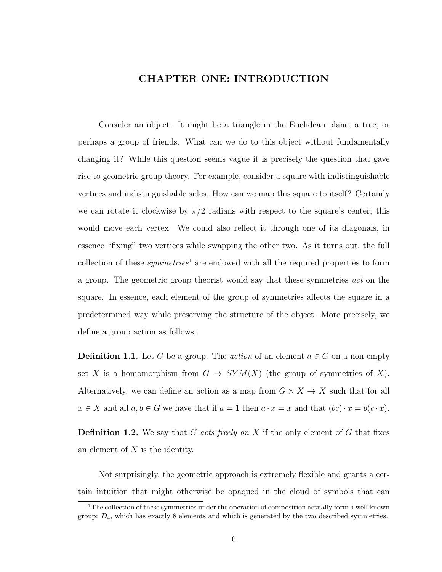## CHAPTER ONE: INTRODUCTION

Consider an object. It might be a triangle in the Euclidean plane, a tree, or perhaps a group of friends. What can we do to this object without fundamentally changing it? While this question seems vague it is precisely the question that gave rise to geometric group theory. For example, consider a square with indistinguishable vertices and indistinguishable sides. How can we map this square to itself? Certainly we can rotate it clockwise by  $\pi/2$  radians with respect to the square's center; this would move each vertex. We could also reflect it through one of its diagonals, in essence "fixing" two vertices while swapping the other two. As it turns out, the full collection of these *symmetries*<sup>1</sup> are endowed with all the required properties to form a group. The geometric group theorist would say that these symmetries act on the square. In essence, each element of the group of symmetries affects the square in a predetermined way while preserving the structure of the object. More precisely, we define a group action as follows:

**Definition 1.1.** Let G be a group. The *action* of an element  $a \in G$  on a non-empty set X is a homomorphism from  $G \to SYM(X)$  (the group of symmetries of X). Alternatively, we can define an action as a map from  $G \times X \to X$  such that for all  $x \in X$  and all  $a, b \in G$  we have that if  $a = 1$  then  $a \cdot x = x$  and that  $(bc) \cdot x = b(c \cdot x)$ .

**Definition 1.2.** We say that G acts freely on X if the only element of G that fixes an element of  $X$  is the identity.

Not surprisingly, the geometric approach is extremely flexible and grants a certain intuition that might otherwise be opaqued in the cloud of symbols that can

<sup>&</sup>lt;sup>1</sup>The collection of these symmetries under the operation of composition actually form a well known group:  $D_4$ , which has exactly 8 elements and which is generated by the two described symmetries.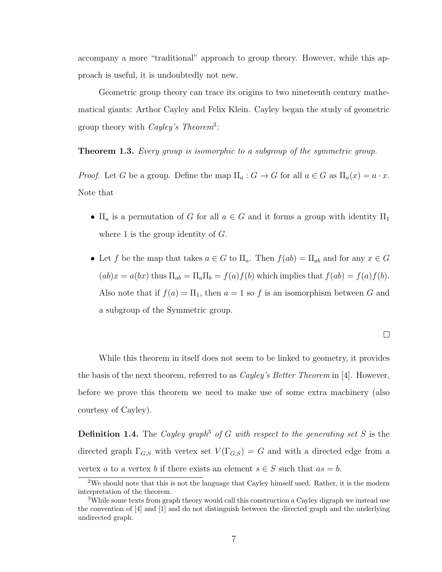accompany a more "traditional" approach to group theory. However, while this approach is useful, it is undoubtedly not new.

Geometric group theory can trace its origins to two nineteenth century mathematical giants: Arthor Cayley and Felix Klein. Cayley began the study of geometric group theory with *Cayley's Theorem*<sup>2</sup>:

**Theorem 1.3.** Every group is isomorphic to a subgroup of the symmetric group.

*Proof.* Let G be a group. Define the map  $\Pi_a: G \to G$  for all  $a \in G$  as  $\Pi_a(x) = a \cdot x$ . Note that

- $\Pi_a$  is a permutation of G for all  $a \in G$  and it forms a group with identity  $\Pi_1$ where 1 is the group identity of  $G$ .
- Let f be the map that takes  $a \in G$  to  $\Pi_a$ . Then  $f(ab) = \Pi_{ab}$  and for any  $x \in G$  $(ab)x = a(bx)$  thus  $\Pi_{ab} = \Pi_a \Pi_b = f(a)f(b)$  which implies that  $f(ab) = f(a)f(b)$ . Also note that if  $f(a) = \Pi_1$ , then  $a = 1$  so f is an isomorphism between G and a subgroup of the Symmetric group.

 $\Box$ 

While this theorem in itself does not seem to be linked to geometry, it provides the basis of the next theorem, referred to as *Cayley's Better Theorem* in [4]. However, before we prove this theorem we need to make use of some extra machinery (also courtesy of Cayley).

**Definition 1.4.** The Cayley graph<sup>3</sup> of G with respect to the generating set S is the directed graph  $\Gamma_{G,S}$  with vertex set  $V(\Gamma_{G,S}) = G$  and with a directed edge from a vertex a to a vertex b if there exists an element  $s \in S$  such that  $as = b$ .

<sup>2</sup>We should note that this is not the language that Cayley himself used. Rather, it is the modern interpretation of the theorem.

<sup>&</sup>lt;sup>3</sup>While some texts from graph theory would call this construction a Cayley digraph we instead use the convention of [4] and [1] and do not distinguish between the directed graph and the underlying undirected graph.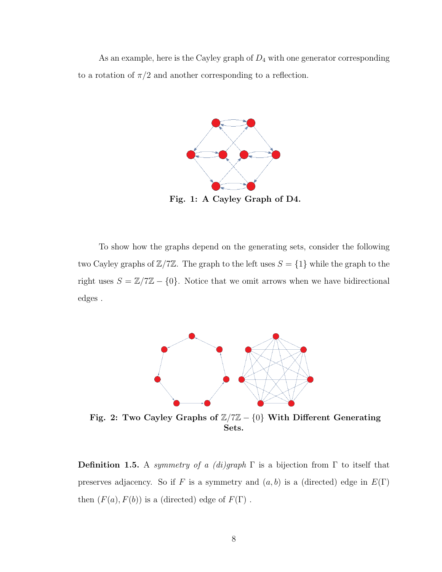As an example, here is the Cayley graph of  $D_4$  with one generator corresponding to a rotation of  $\pi/2$  and another corresponding to a reflection.



Fig. 1: A Cayley Graph of D4.

To show how the graphs depend on the generating sets, consider the following two Cayley graphs of  $\mathbb{Z}/7\mathbb{Z}$ . The graph to the left uses  $S = \{1\}$  while the graph to the right uses  $S = \mathbb{Z}/7\mathbb{Z} - \{0\}$ . Notice that we omit arrows when we have bidirectional edges .



Fig. 2: Two Cayley Graphs of  $\mathbb{Z}/7\mathbb{Z} - \{0\}$  With Different Generating Sets.

**Definition 1.5.** A symmetry of a (di)graph  $\Gamma$  is a bijection from  $\Gamma$  to itself that preserves adjacency. So if F is a symmetry and  $(a, b)$  is a (directed) edge in  $E(\Gamma)$ then  $(F(a), F(b))$  is a (directed) edge of  $F(\Gamma)$ .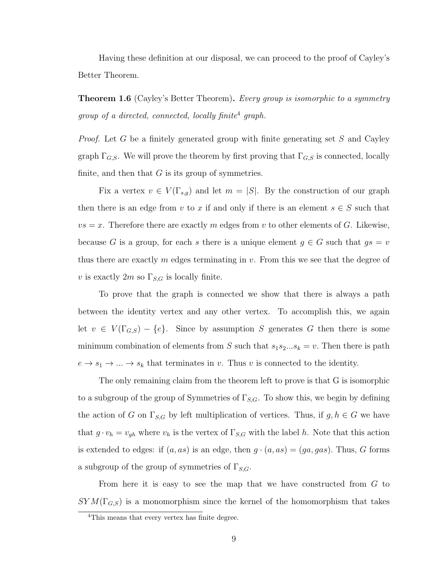Having these definition at our disposal, we can proceed to the proof of Cayley's Better Theorem.

**Theorem 1.6** (Cayley's Better Theorem). Every group is isomorphic to a symmetry group of a directed, connected, locally finite<sup>4</sup> graph.

*Proof.* Let G be a finitely generated group with finite generating set S and Cayley graph  $\Gamma_{G,S}$ . We will prove the theorem by first proving that  $\Gamma_{G,S}$  is connected, locally finite, and then that  $G$  is its group of symmetries.

Fix a vertex  $v \in V(\Gamma_{s,q})$  and let  $m = |S|$ . By the construction of our graph then there is an edge from v to x if and only if there is an element  $s \in S$  such that  $vs = x$ . Therefore there are exactly m edges from v to other elements of G. Likewise, because G is a group, for each s there is a unique element  $g \in G$  such that  $gs = v$ thus there are exactly  $m$  edges terminating in  $v$ . From this we see that the degree of v is exactly  $2m$  so  $\Gamma_{S,G}$  is locally finite.

To prove that the graph is connected we show that there is always a path between the identity vertex and any other vertex. To accomplish this, we again let  $v \in V(\Gamma_{G,S}) - \{e\}$ . Since by assumption S generates G then there is some minimum combination of elements from S such that  $s_1s_2...s_k = v$ . Then there is path  $e \rightarrow s_1 \rightarrow \dots \rightarrow s_k$  that terminates in v. Thus v is connected to the identity.

The only remaining claim from the theorem left to prove is that G is isomorphic to a subgroup of the group of Symmetries of  $\Gamma_{S,G}$ . To show this, we begin by defining the action of G on  $\Gamma_{S,G}$  by left multiplication of vertices. Thus, if  $g, h \in G$  we have that  $g \cdot v_h = v_{gh}$  where  $v_h$  is the vertex of  $\Gamma_{S,G}$  with the label h. Note that this action is extended to edges: if  $(a, as)$  is an edge, then  $g \cdot (a, as) = (ga, gas)$ . Thus, G forms a subgroup of the group of symmetries of  $\Gamma_{S,G}$ .

From here it is easy to see the map that we have constructed from G to  $SYM(\Gamma_{G,S})$  is a monomorphism since the kernel of the homomorphism that takes

<sup>&</sup>lt;sup>4</sup>This means that every vertex has finite degree.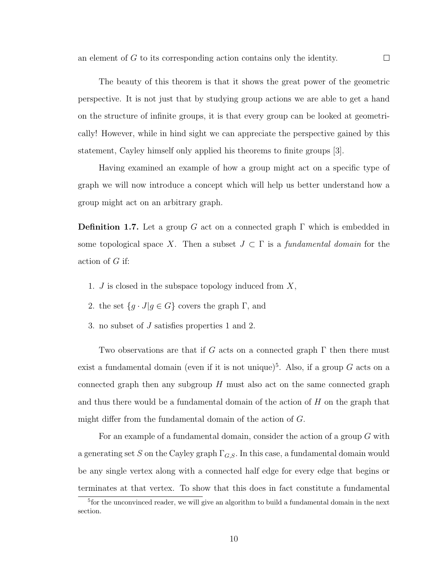The beauty of this theorem is that it shows the great power of the geometric perspective. It is not just that by studying group actions we are able to get a hand on the structure of infinite groups, it is that every group can be looked at geometrically! However, while in hind sight we can appreciate the perspective gained by this statement, Cayley himself only applied his theorems to finite groups [3].

Having examined an example of how a group might act on a specific type of graph we will now introduce a concept which will help us better understand how a group might act on an arbitrary graph.

**Definition 1.7.** Let a group G act on a connected graph  $\Gamma$  which is embedded in some topological space X. Then a subset  $J \subset \Gamma$  is a fundamental domain for the action of G if:

- 1.  $J$  is closed in the subspace topology induced from  $X$ ,
- 2. the set  ${g \cdot J | g \in G}$  covers the graph Γ, and
- 3. no subset of J satisfies properties 1 and 2.

Two observations are that if G acts on a connected graph  $\Gamma$  then there must exist a fundamental domain (even if it is not unique)<sup>5</sup>. Also, if a group  $G$  acts on a connected graph then any subgroup  $H$  must also act on the same connected graph and thus there would be a fundamental domain of the action of  $H$  on the graph that might differ from the fundamental domain of the action of G.

For an example of a fundamental domain, consider the action of a group G with a generating set S on the Cayley graph  $\Gamma_{G,S}$ . In this case, a fundamental domain would be any single vertex along with a connected half edge for every edge that begins or terminates at that vertex. To show that this does in fact constitute a fundamental

<sup>&</sup>lt;sup>5</sup> for the unconvinced reader, we will give an algorithm to build a fundamental domain in the next section.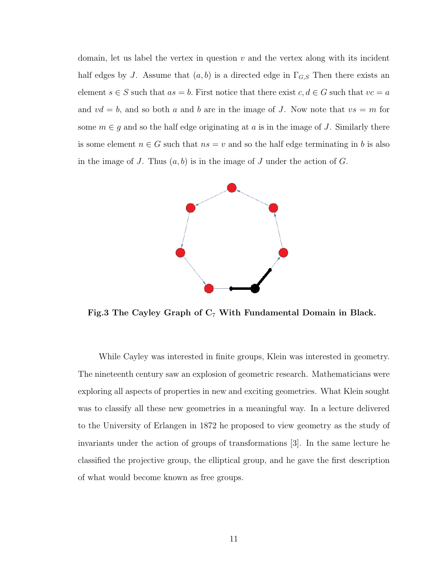domain, let us label the vertex in question  $v$  and the vertex along with its incident half edges by J. Assume that  $(a, b)$  is a directed edge in  $\Gamma_{G, S}$  Then there exists an element  $s \in S$  such that  $as = b$ . First notice that there exist  $c, d \in G$  such that  $vc = a$ and  $vd = b$ , and so both a and b are in the image of J. Now note that  $vs = m$  for some  $m \in g$  and so the half edge originating at a is in the image of J. Similarly there is some element  $n \in G$  such that  $ns = v$  and so the half edge terminating in b is also in the image of J. Thus  $(a, b)$  is in the image of J under the action of G.



Fig.3 The Cayley Graph of  $C_7$  With Fundamental Domain in Black.

While Cayley was interested in finite groups, Klein was interested in geometry. The nineteenth century saw an explosion of geometric research. Mathematicians were exploring all aspects of properties in new and exciting geometries. What Klein sought was to classify all these new geometries in a meaningful way. In a lecture delivered to the University of Erlangen in 1872 he proposed to view geometry as the study of invariants under the action of groups of transformations [3]. In the same lecture he classified the projective group, the elliptical group, and he gave the first description of what would become known as free groups.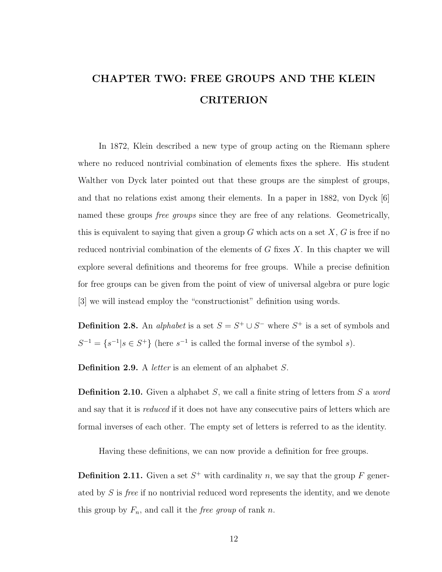# CHAPTER TWO: FREE GROUPS AND THE KLEIN CRITERION

In 1872, Klein described a new type of group acting on the Riemann sphere where no reduced nontrivial combination of elements fixes the sphere. His student Walther von Dyck later pointed out that these groups are the simplest of groups, and that no relations exist among their elements. In a paper in 1882, von Dyck [6] named these groups *free groups* since they are free of any relations. Geometrically, this is equivalent to saying that given a group G which acts on a set  $X, G$  is free if no reduced nontrivial combination of the elements of  $G$  fixes  $X$ . In this chapter we will explore several definitions and theorems for free groups. While a precise definition for free groups can be given from the point of view of universal algebra or pure logic [3] we will instead employ the "constructionist" definition using words.

**Definition 2.8.** An *alphabet* is a set  $S = S^+ \cup S^-$  where  $S^+$  is a set of symbols and  $S^{-1} = \{s^{-1} | s \in S^+\}\$  (here  $s^{-1}$  is called the formal inverse of the symbol s).

Definition 2.9. A letter is an element of an alphabet S.

**Definition 2.10.** Given a alphabet S, we call a finite string of letters from S a word and say that it is *reduced* if it does not have any consecutive pairs of letters which are formal inverses of each other. The empty set of letters is referred to as the identity.

Having these definitions, we can now provide a definition for free groups.

**Definition 2.11.** Given a set  $S^+$  with cardinality n, we say that the group F generated by S is free if no nontrivial reduced word represents the identity, and we denote this group by  $F_n$ , and call it the *free group* of rank n.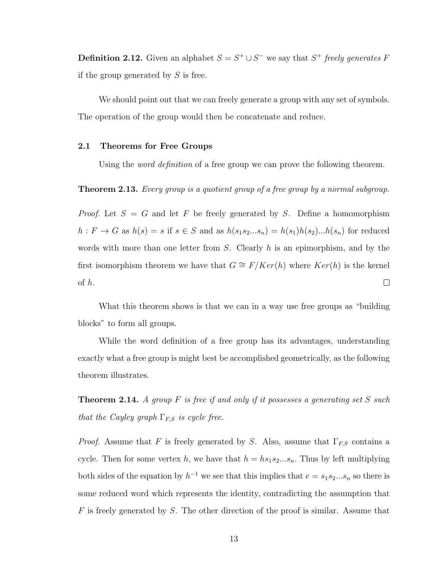**Definition 2.12.** Given an alphabet  $S = S^+ \cup S^-$  we say that  $S^+$  freely generates F if the group generated by  $S$  is free.

We should point out that we can freely generate a group with any set of symbols. The operation of the group would then be concatenate and reduce.

#### 2.1 Theorems for Free Groups

Using the *word definition* of a free group we can prove the following theorem.

**Theorem 2.13.** Every group is a quotient group of a free group by a normal subgroup.

*Proof.* Let  $S = G$  and let F be freely generated by S. Define a homomorphism  $h: F \to G$  as  $h(s) = s$  if  $s \in S$  and as  $h(s_1s_2...s_n) = h(s_1)h(s_2)...h(s_n)$  for reduced words with more than one letter from  $S$ . Clearly  $h$  is an epimorphism, and by the first isomorphism theorem we have that  $G \cong F/Ker(h)$  where  $Ker(h)$  is the kernel of h.  $\Box$ 

What this theorem shows is that we can in a way use free groups as "building blocks" to form all groups.

While the word definition of a free group has its advantages, understanding exactly what a free group is might best be accomplished geometrically, as the following theorem illustrates.

**Theorem 2.14.** A group  $F$  is free if and only if it possesses a generating set  $S$  such that the Cayley graph  $\Gamma_{F,S}$  is cycle free.

*Proof.* Assume that F is freely generated by S. Also, assume that  $\Gamma_{F,S}$  contains a cycle. Then for some vertex h, we have that  $h = h s_1 s_2... s_n$ . Thus by left multiplying both sides of the equation by  $h^{-1}$  we see that this implies that  $e = s_1 s_2...s_n$  so there is some reduced word which represents the identity, contradicting the assumption that  $F$  is freely generated by S. The other direction of the proof is similar. Assume that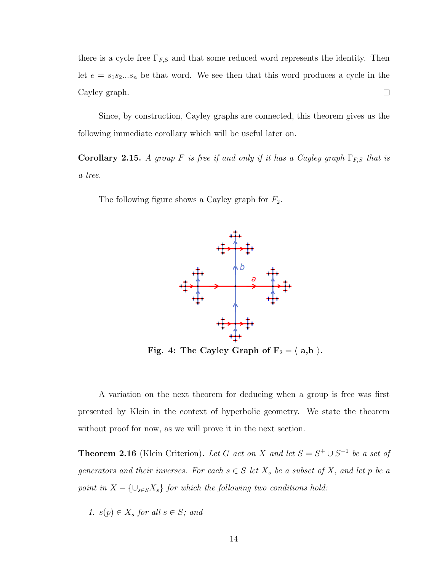there is a cycle free  $\Gamma_{F,S}$  and that some reduced word represents the identity. Then let  $e = s_1 s_2... s_n$  be that word. We see then that this word produces a cycle in the Cayley graph.  $\Box$ 

Since, by construction, Cayley graphs are connected, this theorem gives us the following immediate corollary which will be useful later on.

Corollary 2.15. A group F is free if and only if it has a Cayley graph  $\Gamma_{F,S}$  that is a tree.

The following figure shows a Cayley graph for  $F_2$ .



Fig. 4: The Cayley Graph of  $F_2 = \langle a,b \rangle$ .

A variation on the next theorem for deducing when a group is free was first presented by Klein in the context of hyperbolic geometry. We state the theorem without proof for now, as we will prove it in the next section.

**Theorem 2.16** (Klein Criterion). Let G act on X and let  $S = S^+ \cup S^{-1}$  be a set of generators and their inverses. For each  $s \in S$  let  $X_s$  be a subset of X, and let p be a point in  $X - \{\cup_{s \in S} X_s\}$  for which the following two conditions hold:

1. 
$$
s(p) \in X_s
$$
 for all  $s \in S$ ; and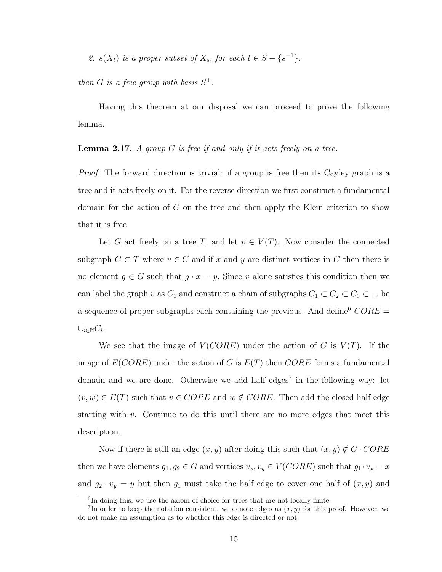2.  $s(X_t)$  is a proper subset of  $X_s$ , for each  $t \in S - \{s^{-1}\}.$ 

then G is a free group with basis  $S^+$ .

Having this theorem at our disposal we can proceed to prove the following lemma.

## **Lemma 2.17.** A group G is free if and only if it acts freely on a tree.

Proof. The forward direction is trivial: if a group is free then its Cayley graph is a tree and it acts freely on it. For the reverse direction we first construct a fundamental domain for the action of  $G$  on the tree and then apply the Klein criterion to show that it is free.

Let G act freely on a tree T, and let  $v \in V(T)$ . Now consider the connected subgraph  $C \subset T$  where  $v \in C$  and if x and y are distinct vertices in C then there is no element  $g \in G$  such that  $g \cdot x = y$ . Since v alone satisfies this condition then we can label the graph v as  $C_1$  and construct a chain of subgraphs  $C_1 \subset C_2 \subset C_3 \subset \dots$  be a sequence of proper subgraphs each containing the previous. And define  $CORE =$  $\cup_{i\in\mathbb{N}} C_i$ .

We see that the image of  $V(CORE)$  under the action of G is  $V(T)$ . If the image of  $E(CORE)$  under the action of G is  $E(T)$  then  $CORE$  forms a fundamental domain and we are done. Otherwise we add half edges<sup>7</sup> in the following way: let  $(v, w) \in E(T)$  such that  $v \in CORE$  and  $w \notin CORE$ . Then add the closed half edge starting with  $v$ . Continue to do this until there are no more edges that meet this description.

Now if there is still an edge  $(x, y)$  after doing this such that  $(x, y) \notin G \cdot CORE$ then we have elements  $g_1, g_2 \in G$  and vertices  $v_x, v_y \in V(CORE)$  such that  $g_1 \cdot v_x = x$ and  $g_2 \cdot v_y = y$  but then  $g_1$  must take the half edge to cover one half of  $(x, y)$  and

<sup>6</sup> In doing this, we use the axiom of choice for trees that are not locally finite.

<sup>&</sup>lt;sup>7</sup>In order to keep the notation consistent, we denote edges as  $(x, y)$  for this proof. However, we do not make an assumption as to whether this edge is directed or not.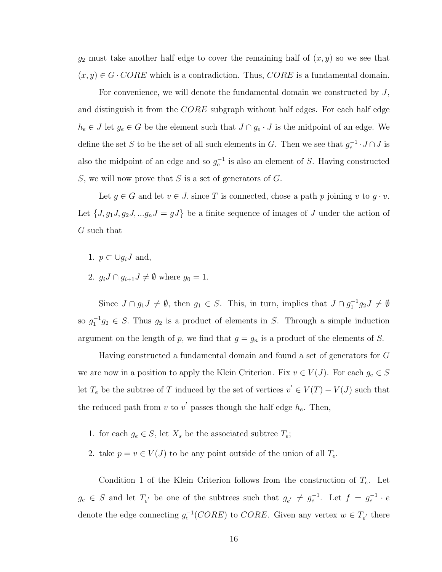$g_2$  must take another half edge to cover the remaining half of  $(x, y)$  so we see that  $(x, y) \in G \cdot CORE$  which is a contradiction. Thus,  $CORE$  is a fundamental domain.

For convenience, we will denote the fundamental domain we constructed by  $J$ , and distinguish it from the  $CORE$  subgraph without half edges. For each half edge  $h_e \in J$  let  $g_e \in G$  be the element such that  $J \cap g_e \cdot J$  is the midpoint of an edge. We define the set S to be the set of all such elements in G. Then we see that  $g_e^{-1} \cdot J \cap J$  is also the midpoint of an edge and so  $g_e^{-1}$  is also an element of S. Having constructed S, we will now prove that S is a set of generators of  $G$ .

Let  $g \in G$  and let  $v \in J$  since T is connected, chose a path p joining v to  $g \cdot v$ . Let  $\{J, g_1J, g_2J, \ldots g_nJ = gJ\}$  be a finite sequence of images of J under the action of G such that

- 1.  $p \subset \bigcup g_i J$  and,
- 2.  $g_i J \cap g_{i+1} J \neq \emptyset$  where  $g_0 = 1$ .

Since  $J \cap g_1 J \neq \emptyset$ , then  $g_1 \in S$ . This, in turn, implies that  $J \cap g_1^{-1} g_2 J \neq \emptyset$ so  $g_1^{-1}g_2 \in S$ . Thus  $g_2$  is a product of elements in S. Through a simple induction argument on the length of p, we find that  $g = g_n$  is a product of the elements of S.

Having constructed a fundamental domain and found a set of generators for G we are now in a position to apply the Klein Criterion. Fix  $v \in V(J)$ . For each  $g_e \in S$ let  $T_e$  be the subtree of T induced by the set of vertices  $v' \in V(T) - V(J)$  such that the reduced path from v to v' passes though the half edge  $h_e$ . Then,

- 1. for each  $g_e \in S$ , let  $X_s$  be the associated subtree  $T_e$ ;
- 2. take  $p = v \in V(J)$  to be any point outside of the union of all  $T_e$ .

Condition 1 of the Klein Criterion follows from the construction of  $T_e$ . Let  $g_e \in S$  and let  $T_{e'}$  be one of the subtrees such that  $g_{e'} \neq g_e^{-1}$ . Let  $f = g_e^{-1} \cdot e$ denote the edge connecting  $g_e^{-1}(CORE)$  to  $CORE$ . Given any vertex  $w \in T_{e'}$  there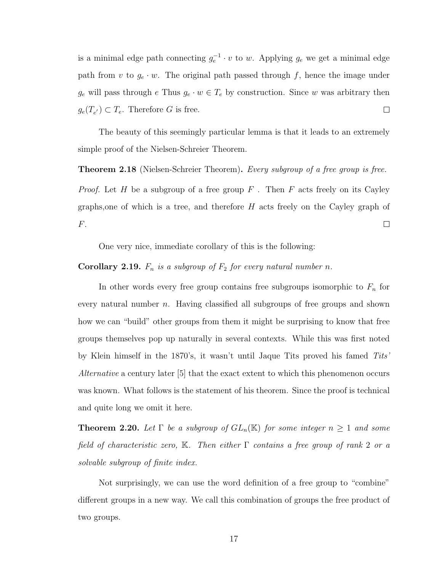is a minimal edge path connecting  $g_e^{-1} \cdot v$  to w. Applying  $g_e$  we get a minimal edge path from v to  $g_e \cdot w$ . The original path passed through f, hence the image under  $g_e$  will pass through  $e$  Thus  $g_e \cdot w \in T_e$  by construction. Since w was arbitrary then  $g_e(T_{e'}) \subset T_e$ . Therefore G is free.  $\Box$ 

The beauty of this seemingly particular lemma is that it leads to an extremely simple proof of the Nielsen-Schreier Theorem.

**Theorem 2.18** (Nielsen-Schreier Theorem). Every subgroup of a free group is free. *Proof.* Let H be a subgroup of a free group  $F$ . Then F acts freely on its Cayley graphs, one of which is a tree, and therefore  $H$  acts freely on the Cayley graph of F.  $\Box$ 

One very nice, immediate corollary of this is the following:

**Corollary 2.19.**  $F_n$  is a subgroup of  $F_2$  for every natural number n.

In other words every free group contains free subgroups isomorphic to  $F_n$  for every natural number n. Having classified all subgroups of free groups and shown how we can "build" other groups from them it might be surprising to know that free groups themselves pop up naturally in several contexts. While this was first noted by Klein himself in the 1870's, it wasn't until Jaque Tits proved his famed Tits' Alternative a century later [5] that the exact extent to which this phenomenon occurs was known. What follows is the statement of his theorem. Since the proof is technical and quite long we omit it here.

**Theorem 2.20.** Let  $\Gamma$  be a subgroup of  $GL_n(\mathbb{K})$  for some integer  $n \geq 1$  and some field of characteristic zero, K. Then either  $\Gamma$  contains a free group of rank 2 or a solvable subgroup of finite index.

Not surprisingly, we can use the word definition of a free group to "combine" different groups in a new way. We call this combination of groups the free product of two groups.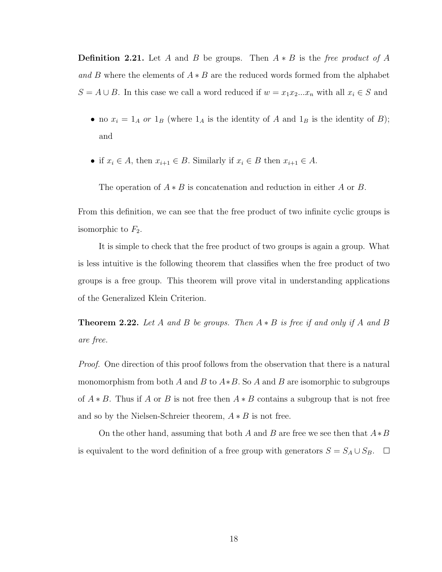**Definition 2.21.** Let A and B be groups. Then  $A * B$  is the free product of A and B where the elements of  $A * B$  are the reduced words formed from the alphabet  $S = A \cup B$ . In this case we call a word reduced if  $w = x_1 x_2 ... x_n$  with all  $x_i \in S$  and

- no  $x_i = 1_A$  or  $1_B$  (where  $1_A$  is the identity of A and  $1_B$  is the identity of B); and
- if  $x_i \in A$ , then  $x_{i+1} \in B$ . Similarly if  $x_i \in B$  then  $x_{i+1} \in A$ .

The operation of  $A * B$  is concatenation and reduction in either A or B.

From this definition, we can see that the free product of two infinite cyclic groups is isomorphic to  $F_2$ .

It is simple to check that the free product of two groups is again a group. What is less intuitive is the following theorem that classifies when the free product of two groups is a free group. This theorem will prove vital in understanding applications of the Generalized Klein Criterion.

**Theorem 2.22.** Let A and B be groups. Then  $A * B$  is free if and only if A and B are free.

*Proof.* One direction of this proof follows from the observation that there is a natural monomorphism from both A and B to  $A*B$ . So A and B are isomorphic to subgroups of  $A * B$ . Thus if A or B is not free then  $A * B$  contains a subgroup that is not free and so by the Nielsen-Schreier theorem,  $A * B$  is not free.

On the other hand, assuming that both A and B are free we see then that  $A*B$ is equivalent to the word definition of a free group with generators  $S = S_A \cup S_B$ .  $\Box$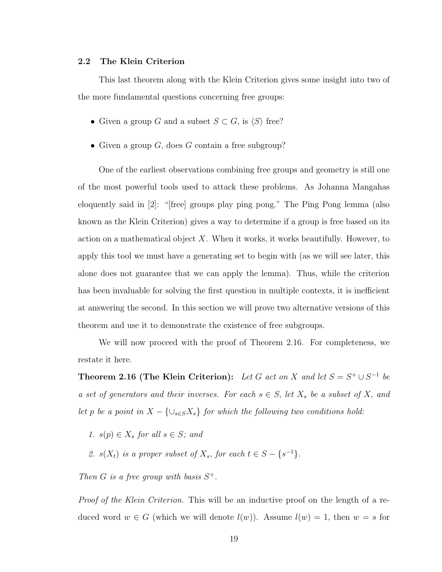### 2.2 The Klein Criterion

This last theorem along with the Klein Criterion gives some insight into two of the more fundamental questions concerning free groups:

- Given a group G and a subset  $S \subset G$ , is  $\langle S \rangle$  free?
- Given a group  $G$ , does  $G$  contain a free subgroup?

One of the earliest observations combining free groups and geometry is still one of the most powerful tools used to attack these problems. As Johanna Mangahas eloquently said in [2]: "[free] groups play ping pong." The Ping Pong lemma (also known as the Klein Criterion) gives a way to determine if a group is free based on its action on a mathematical object  $X$ . When it works, it works beautifully. However, to apply this tool we must have a generating set to begin with (as we will see later, this alone does not guarantee that we can apply the lemma). Thus, while the criterion has been invaluable for solving the first question in multiple contexts, it is inefficient at answering the second. In this section we will prove two alternative versions of this theorem and use it to demonstrate the existence of free subgroups.

We will now proceed with the proof of Theorem 2.16. For completeness, we restate it here.

**Theorem 2.16 (The Klein Criterion):** Let G act on X and let  $S = S^+ \cup S^{-1}$  be a set of generators and their inverses. For each  $s \in S$ , let  $X_s$  be a subset of X, and let p be a point in  $X - \{ \cup_{s \in S} X_s \}$  for which the following two conditions hold:

- 1.  $s(p) \in X_s$  for all  $s \in S$ ; and
- 2.  $s(X_t)$  is a proper subset of  $X_s$ , for each  $t \in S \{s^{-1}\}.$

Then G is a free group with basis  $S^+$ .

Proof of the Klein Criterion. This will be an inductive proof on the length of a reduced word  $w \in G$  (which we will denote  $l(w)$ ). Assume  $l(w) = 1$ , then  $w = s$  for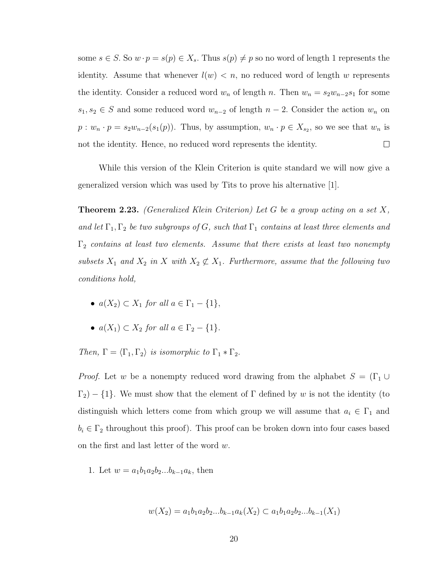some  $s \in S$ . So  $w \cdot p = s(p) \in X_s$ . Thus  $s(p) \neq p$  so no word of length 1 represents the identity. Assume that whenever  $l(w) < n$ , no reduced word of length w represents the identity. Consider a reduced word  $w_n$  of length n. Then  $w_n = s_2w_{n-2}s_1$  for some  $s_1, s_2 \in S$  and some reduced word  $w_{n-2}$  of length  $n-2$ . Consider the action  $w_n$  on  $p: w_n \cdot p = s_2w_{n-2}(s_1(p))$ . Thus, by assumption,  $w_n \cdot p \in X_{s_2}$ , so we see that  $w_n$  is  $\Box$ not the identity. Hence, no reduced word represents the identity.

While this version of the Klein Criterion is quite standard we will now give a generalized version which was used by Tits to prove his alternative [1].

**Theorem 2.23.** (Generalized Klein Criterion) Let G be a group acting on a set  $X$ , and let  $\Gamma_1, \Gamma_2$  be two subgroups of G, such that  $\Gamma_1$  contains at least three elements and  $\Gamma_2$  contains at least two elements. Assume that there exists at least two nonempty subsets  $X_1$  and  $X_2$  in X with  $X_2 \not\subset X_1$ . Furthermore, assume that the following two conditions hold,

- $a(X_2) \subset X_1$  for all  $a \in \Gamma_1 \{1\},\$
- $a(X_1) \subset X_2$  for all  $a \in \Gamma_2 \{1\}.$

Then,  $\Gamma = \langle \Gamma_1, \Gamma_2 \rangle$  is isomorphic to  $\Gamma_1 * \Gamma_2$ .

*Proof.* Let w be a nonempty reduced word drawing from the alphabet  $S = (\Gamma_1 \cup$  $\Gamma_2$ ) – {1}. We must show that the element of  $\Gamma$  defined by w is not the identity (to distinguish which letters come from which group we will assume that  $a_i \in \Gamma_1$  and  $b_i \in \Gamma_2$  throughout this proof). This proof can be broken down into four cases based on the first and last letter of the word w.

1. Let  $w = a_1b_1a_2b_2...b_{k-1}a_k$ , then

$$
w(X_2) = a_1b_1a_2b_2...b_{k-1}a_k(X_2) \subset a_1b_1a_2b_2...b_{k-1}(X_1)
$$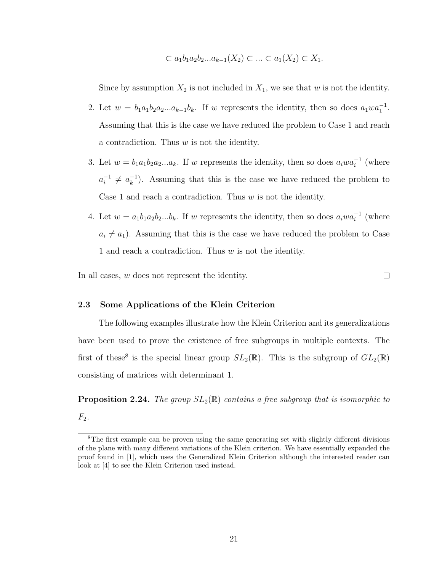$$
\subset a_1b_1a_2b_2...a_{k-1}(X_2) \subset ... \subset a_1(X_2) \subset X_1.
$$

Since by assumption  $X_2$  is not included in  $X_1$ , we see that w is not the identity.

- 2. Let  $w = b_1 a_1 b_2 a_2 ... a_{k-1} b_k$ . If w represents the identity, then so does  $a_1 w a_1^{-1}$ . Assuming that this is the case we have reduced the problem to Case 1 and reach a contradiction. Thus  $w$  is not the identity.
- 3. Let  $w = b_1 a_1 b_2 a_2 ... a_k$ . If w represents the identity, then so does  $a_i w a_i^{-1}$  (where  $a_i^{-1}$  $a_k^{-1} \neq a_k^{-1}$  $\binom{-1}{k}$ . Assuming that this is the case we have reduced the problem to Case 1 and reach a contradiction. Thus  $w$  is not the identity.
- 4. Let  $w = a_1b_1a_2b_2...b_k$ . If w represents the identity, then so does  $a_iwa_i^{-1}$  (where  $a_i \neq a_1$ ). Assuming that this is the case we have reduced the problem to Case 1 and reach a contradiction. Thus w is not the identity.

In all cases, w does not represent the identity.

 $\Box$ 

## 2.3 Some Applications of the Klein Criterion

The following examples illustrate how the Klein Criterion and its generalizations have been used to prove the existence of free subgroups in multiple contexts. The first of these<sup>8</sup> is the special linear group  $SL_2(\mathbb{R})$ . This is the subgroup of  $GL_2(\mathbb{R})$ consisting of matrices with determinant 1.

**Proposition 2.24.** The group  $SL_2(\mathbb{R})$  contains a free subgroup that is isomorphic to  $F_2$ .

<sup>&</sup>lt;sup>8</sup>The first example can be proven using the same generating set with slightly different divisions of the plane with many different variations of the Klein criterion. We have essentially expanded the proof found in [1], which uses the Generalized Klein Criterion although the interested reader can look at [4] to see the Klein Criterion used instead.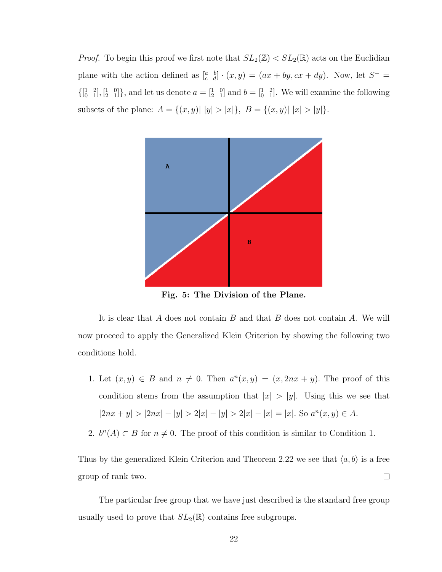*Proof.* To begin this proof we first note that  $SL_2(\mathbb{Z}) < SL_2(\mathbb{R})$  acts on the Euclidian plane with the action defined as  $\begin{bmatrix} a & b \\ c & d \end{bmatrix} \cdot (x, y) = (ax + by, cx + dy)$ . Now, let  $S^+$  $\{[\begin{smallmatrix} 1 & 2 \\ 0 & 1 \end{smallmatrix}], [\begin{smallmatrix} 1 & 0 \\ 2 & 1 \end{smallmatrix}]\}$ , and let us denote  $a = [\begin{smallmatrix} 1 & 0 \\ 2 & 1 \end{smallmatrix}]$  and  $b = [\begin{smallmatrix} 1 & 2 \\ 0 & 1 \end{smallmatrix}]\}$ . We will examine the following subsets of the plane:  $A = \{(x, y) | |y| > |x|\}, B = \{(x, y) | |x| > |y|\}.$ 



Fig. 5: The Division of the Plane.

It is clear that  $A$  does not contain  $B$  and that  $B$  does not contain  $A$ . We will now proceed to apply the Generalized Klein Criterion by showing the following two conditions hold.

- 1. Let  $(x, y) \in B$  and  $n \neq 0$ . Then  $a^{n}(x, y) = (x, 2nx + y)$ . The proof of this condition stems from the assumption that  $|x| > |y|$ . Using this we see that  $|2nx + y| > |2nx| - |y| > 2|x| - |y| > 2|x| - |x| = |x|$ . So  $a^n(x, y) \in A$ .
- 2.  $b^{n}(A) \subset B$  for  $n \neq 0$ . The proof of this condition is similar to Condition 1.

Thus by the generalized Klein Criterion and Theorem 2.22 we see that  $\langle a, b \rangle$  is a free  $\Box$ group of rank two.

The particular free group that we have just described is the standard free group usually used to prove that  $SL_2(\mathbb{R})$  contains free subgroups.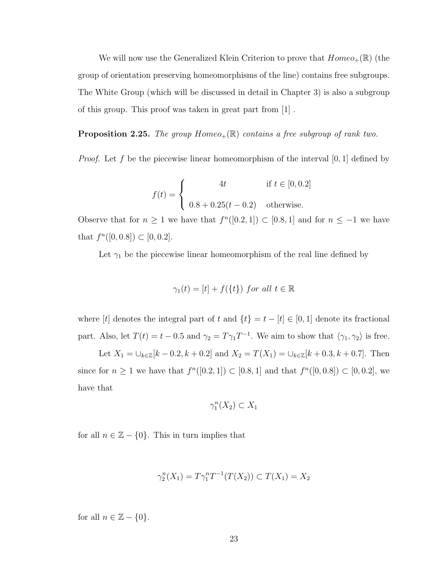We will now use the Generalized Klein Criterion to prove that  $Homeo_+(\mathbb{R})$  (the group of orientation preserving homeomorphisms of the line) contains free subgroups. The White Group (which will be discussed in detail in Chapter 3) is also a subgroup of this group. This proof was taken in great part from [1] .

**Proposition 2.25.** The group  $Homeo_+(\mathbb{R})$  contains a free subgroup of rank two.

*Proof.* Let f be the piecewise linear homeomorphism of the interval [0, 1] defined by

$$
f(t) = \begin{cases} 4t & \text{if } t \in [0, 0.2] \\ 0.8 + 0.25(t - 0.2) & \text{otherwise.} \end{cases}
$$

Observe that for  $n \geq 1$  we have that  $f^{(0)}(0.2, 1] \subset [0.8, 1]$  and for  $n \leq -1$  we have that  $f^{n}([0, 0.8]) \subset [0, 0.2].$ 

Let  $\gamma_1$  be the piecewise linear homeomorphism of the real line defined by

$$
\gamma_1(t) = [t] + f(\{t\}) \text{ for all } t \in \mathbb{R}
$$

where [t] denotes the integral part of t and  $\{t\} = t - [t] \in [0, 1]$  denote its fractional part. Also, let  $T(t) = t - 0.5$  and  $\gamma_2 = T \gamma_1 T^{-1}$ . We aim to show that  $\langle \gamma_1, \gamma_2 \rangle$  is free.

Let  $X_1 = \bigcup_{k \in \mathbb{Z}} [k - 0.2, k + 0.2]$  and  $X_2 = T(X_1) = \bigcup_{k \in \mathbb{Z}} [k + 0.3, k + 0.7]$ . Then since for  $n \ge 1$  we have that  $f^{(0)}([0.2, 1]) \subset [0.8, 1]$  and that  $f^{(0)}([0.0.8]) \subset [0, 0.2]$ , we have that

$$
\gamma_1^n(X_2) \subset X_1
$$

for all  $n \in \mathbb{Z} - \{0\}$ . This in turn implies that

$$
\gamma_2^n(X_1) = T\gamma_1^n T^{-1}(T(X_2)) \subset T(X_1) = X_2
$$

for all  $n \in \mathbb{Z} - \{0\}.$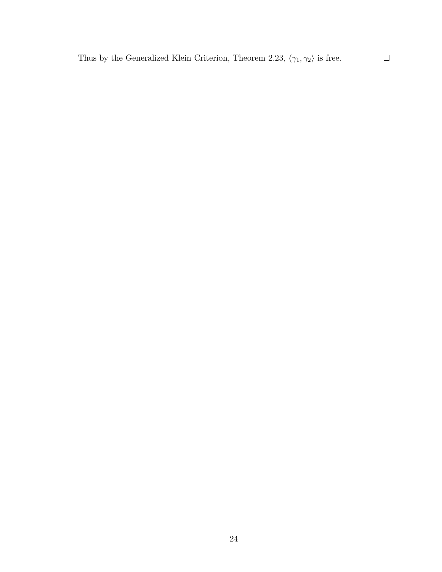Thus by the Generalized Klein Criterion, Theorem 2.23,  $\langle \gamma_1, \gamma_2 \rangle$  is free.

 $\Box$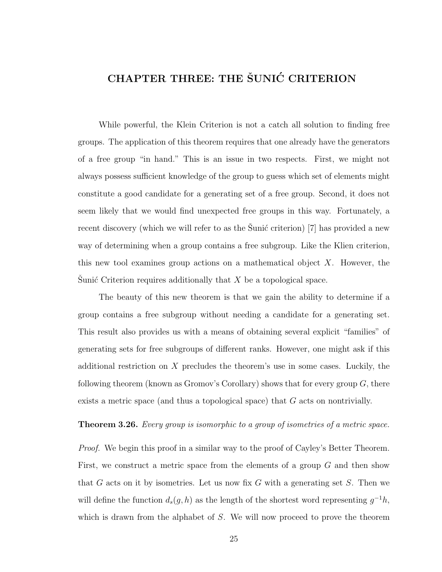## CHAPTER THREE: THE SUNIC CRITERION

While powerful, the Klein Criterion is not a catch all solution to finding free groups. The application of this theorem requires that one already have the generators of a free group "in hand." This is an issue in two respects. First, we might not always possess sufficient knowledge of the group to guess which set of elements might constitute a good candidate for a generating set of a free group. Second, it does not seem likely that we would find unexpected free groups in this way. Fortunately, a recent discovery (which we will refer to as the Sunic criterion)  $[7]$  has provided a new way of determining when a group contains a free subgroup. Like the Klien criterion, this new tool examines group actions on a mathematical object  $X$ . However, the Sunić Criterion requires additionally that  $X$  be a topological space.

The beauty of this new theorem is that we gain the ability to determine if a group contains a free subgroup without needing a candidate for a generating set. This result also provides us with a means of obtaining several explicit "families" of generating sets for free subgroups of different ranks. However, one might ask if this additional restriction on X precludes the theorem's use in some cases. Luckily, the following theorem (known as Gromov's Corollary) shows that for every group  $G$ , there exists a metric space (and thus a topological space) that G acts on nontrivially.

## **Theorem 3.26.** Every group is isomorphic to a group of isometries of a metric space.

Proof. We begin this proof in a similar way to the proof of Cayley's Better Theorem. First, we construct a metric space from the elements of a group G and then show that G acts on it by isometries. Let us now fix  $G$  with a generating set  $S$ . Then we will define the function  $d_s(g, h)$  as the length of the shortest word representing  $g^{-1}h$ , which is drawn from the alphabet of S. We will now proceed to prove the theorem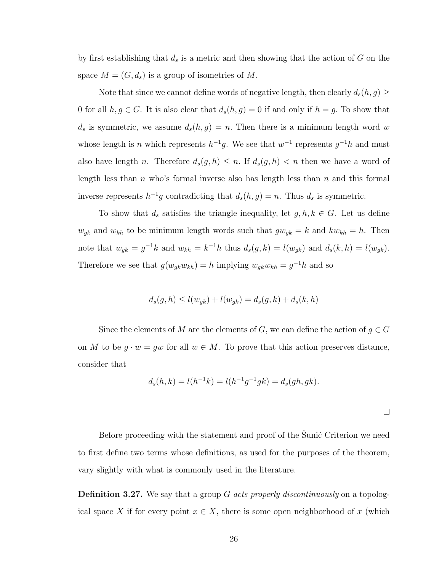by first establishing that  $d_s$  is a metric and then showing that the action of G on the space  $M = (G, d_s)$  is a group of isometries of M.

Note that since we cannot define words of negative length, then clearly  $d_s(h, g) \geq$ 0 for all  $h, g \in G$ . It is also clear that  $d_s(h, g) = 0$  if and only if  $h = g$ . To show that  $d_s$  is symmetric, we assume  $d_s(h, g) = n$ . Then there is a minimum length word w whose length is *n* which represents  $h^{-1}g$ . We see that  $w^{-1}$  represents  $g^{-1}h$  and must also have length n. Therefore  $d_s(g, h) \leq n$ . If  $d_s(g, h) < n$  then we have a word of length less than  $n$  who's formal inverse also has length less than  $n$  and this formal inverse represents  $h^{-1}g$  contradicting that  $d_s(h,g) = n$ . Thus  $d_s$  is symmetric.

To show that  $d_s$  satisfies the triangle inequality, let  $g, h, k \in G$ . Let us define  $w_{g_k}$  and  $w_{kh}$  to be minimum length words such that  $gw_{g_k} = k$  and  $kw_{kh} = h$ . Then note that  $w_{gk} = g^{-1}k$  and  $w_{kh} = k^{-1}h$  thus  $d_s(g, k) = l(w_{gk})$  and  $d_s(k, h) = l(w_{gk})$ . Therefore we see that  $g(w_{gk}w_{kh}) = h$  implying  $w_{gk}w_{kh} = g^{-1}h$  and so

$$
d_s(g, h) \le l(w_{gk}) + l(w_{gk}) = d_s(g, k) + d_s(k, h)
$$

Since the elements of M are the elements of G, we can define the action of  $g \in G$ on M to be  $g \cdot w = gw$  for all  $w \in M$ . To prove that this action preserves distance, consider that

$$
d_s(h,k) = l(h^{-1}k) = l(h^{-1}g^{-1}gk) = d_s(gh, gk).
$$

 $\Box$ 

Before proceeding with the statement and proof of the Sunic Criterion we need to first define two terms whose definitions, as used for the purposes of the theorem, vary slightly with what is commonly used in the literature.

**Definition 3.27.** We say that a group G acts properly discontinuously on a topological space X if for every point  $x \in X$ , there is some open neighborhood of x (which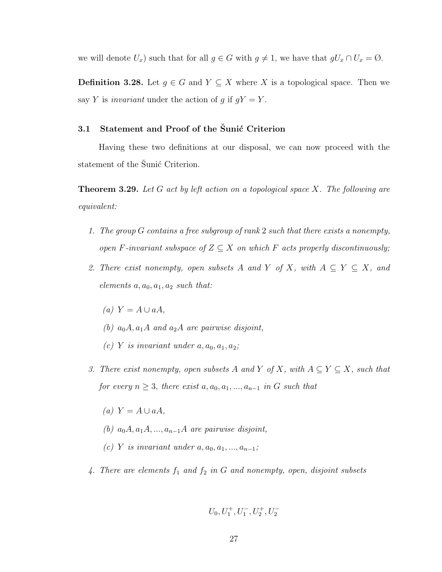we will denote  $U_x$ ) such that for all  $g \in G$  with  $g \neq 1$ , we have that  $gU_x \cap U_x = \emptyset$ .

**Definition 3.28.** Let  $g \in G$  and  $Y \subseteq X$  where X is a topological space. Then we say Y is *invariant* under the action of g if  $gY = Y$ .

## 3.1 Statement and Proof of the Šunić Criterion

Having these two definitions at our disposal, we can now proceed with the statement of the Sunic Criterion.

**Theorem 3.29.** Let G act by left action on a topological space X. The following are equivalent:

- 1. The group G contains a free subgroup of rank 2 such that there exists a nonempty, open F-invariant subspace of  $Z \subseteq X$  on which F acts properly discontinuously;
- 2. There exist nonempty, open subsets A and Y of X, with  $A \subseteq Y \subseteq X$ , and elements  $a, a_0, a_1, a_2$  such that:
	- $(a)$  Y =  $A \cup aA$ ,
	- (b)  $a_0A$ ,  $a_1A$  and  $a_2A$  are pairwise disjoint,
	- (c) Y is invariant under  $a, a_0, a_1, a_2$ ;
- 3. There exist nonempty, open subsets A and Y of X, with  $A \subseteq Y \subseteq X$ , such that for every  $n \geq 3$ , there exist  $a, a_0, a_1, ..., a_{n-1}$  in G such that
	- $(a)$  Y =  $A \cup aA$ ,
	- (b)  $a_0A, a_1A, ..., a_{n-1}A$  are pairwise disjoint,
	- (c) Y is invariant under  $a, a_0, a_1, \ldots, a_{n-1}$ ;
- 4. There are elements  $f_1$  and  $f_2$  in G and nonempty, open, disjoint subsets

$$
U_0, U_1^+, U_1^-, U_2^+, U_2^-\\
$$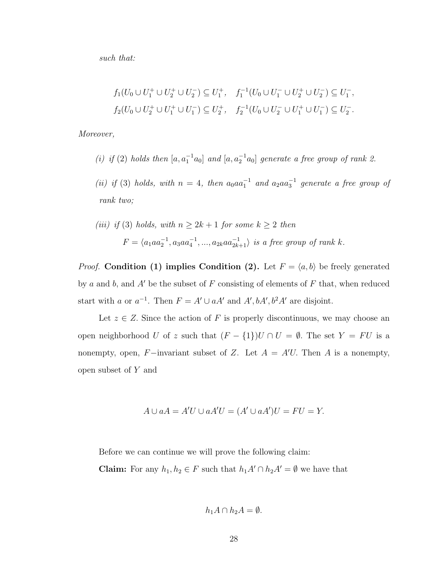such that:

$$
f_1(U_0 \cup U_1^+ \cup U_2^+ \cup U_2^-) \subseteq U_1^+, \quad f_1^{-1}(U_0 \cup U_1^- \cup U_2^+ \cup U_2^-) \subseteq U_1^-,
$$
  

$$
f_2(U_0 \cup U_2^+ \cup U_1^+ \cup U_1^-) \subseteq U_2^+, \quad f_2^{-1}(U_0 \cup U_2^- \cup U_1^+ \cup U_1^-) \subseteq U_2^-.
$$

Moreover,

- (i) if (2) holds then  $[a, a_1^{-1}a_0]$  and  $[a, a_2^{-1}a_0]$  generate a free group of rank 2.
- (ii) if (3) holds, with  $n = 4$ , then  $a_0aa_1^{-1}$  and  $a_2aa_3^{-1}$  generate a free group of rank two;

(iii) if (3) holds, with 
$$
n \ge 2k + 1
$$
 for some  $k \ge 2$  then  

$$
F = \langle a_1 a a_2^{-1}, a_3 a a_4^{-1}, ..., a_{2k} a a_{2k+1}^{-1} \rangle
$$
 is a free group of rank k.

*Proof.* Condition (1) implies Condition (2). Let  $F = \langle a, b \rangle$  be freely generated by a and b, and  $A'$  be the subset of F consisting of elements of F that, when reduced start with a or  $a^{-1}$ . Then  $F = A' \cup aA'$  and  $A', bA', b^2A'$  are disjoint.

Let  $z \in Z$ . Since the action of F is properly discontinuous, we may choose an open neighborhood U of z such that  $(F - \{1\})U \cap U = \emptyset$ . The set  $Y = FU$  is a nonempty, open, F-invariant subset of Z. Let  $A = A'U$ . Then A is a nonempty, open subset of Y and

$$
A \cup aA = A'U \cup aA'U = (A' \cup aA')U = FU = Y.
$$

Before we can continue we will prove the following claim:

**Claim:** For any  $h_1, h_2 \in F$  such that  $h_1A' \cap h_2A' = \emptyset$  we have that

$$
h_1A \cap h_2A = \emptyset.
$$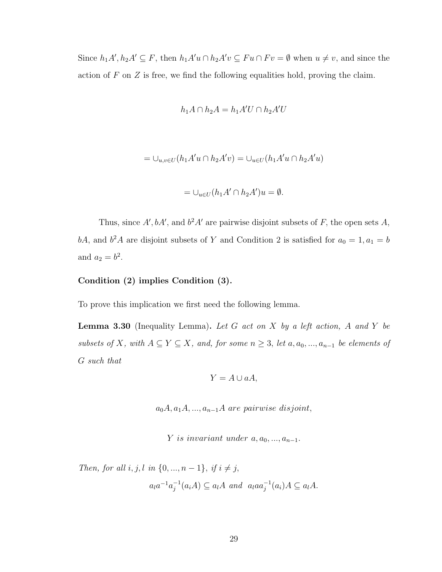Since  $h_1A', h_2A' \subseteq F$ , then  $h_1A'u \cap h_2A'v \subseteq Fu \cap Fv = \emptyset$  when  $u \neq v$ , and since the action of  $F$  on  $Z$  is free, we find the following equalities hold, proving the claim.

$$
h_1A \cap h_2A = h_1A'U \cap h_2A'U
$$

$$
=\cup_{u,v\in U}(h_1A'u\cap h_2A'v)=\cup_{u\in U}(h_1A'u\cap h_2A'u)
$$

$$
= \cup_{u \in U} (h_1 A' \cap h_2 A')u = \emptyset.
$$

Thus, since A', bA', and  $b^2A'$  are pairwise disjoint subsets of F, the open sets A, bA, and  $b^2A$  are disjoint subsets of Y and Condition 2 is satisfied for  $a_0 = 1, a_1 = b$ and  $a_2 = b^2$ .

#### Condition (2) implies Condition (3).

To prove this implication we first need the following lemma.

**Lemma 3.30** (Inequality Lemma). Let G act on X by a left action, A and Y be subsets of X, with  $A \subseteq Y \subseteq X$ , and, for some  $n \geq 3$ , let  $a, a_0, ..., a_{n-1}$  be elements of G such that

$$
Y = A \cup aA,
$$

 $a_0A, a_1A, ..., a_{n-1}A$  are pairwise disjoint,

Y is invariant under  $a, a_0, \ldots, a_{n-1}$ .

Then, for all  $i, j, l$  in  $\{0, ..., n-1\}$ , if  $i \neq j$ ,  $a_{l}a^{-1}a_{i}^{-1}$  $j^{-1}(a_iA) \subseteq a_lA$  and  $a_laa_j^{-1}(a_i)A \subseteq a_lA$ .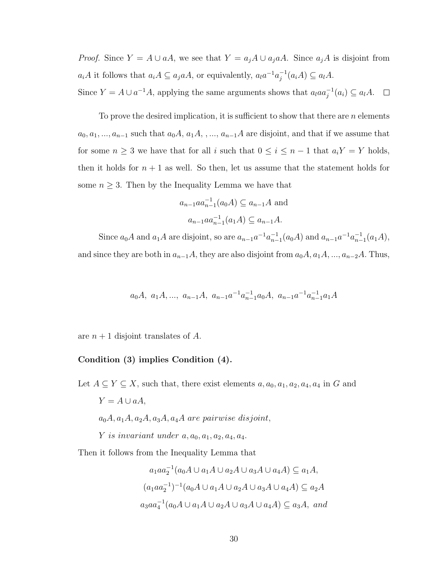*Proof.* Since  $Y = A \cup aA$ , we see that  $Y = a_j A \cup a_j aA$ . Since  $a_j A$  is disjoint from  $a_iA$  it follows that  $a_iA \subseteq a_jaA$ , or equivalently,  $a_ia^{-1}a_i^{-1}$  $j^{-1}(a_iA) \subseteq a_lA.$ 

Since  $Y = A \cup a^{-1}A$ , applying the same arguments shows that  $a_l a a_j^{-1}(a_i) \subseteq a_l A$ .  $\Box$ 

To prove the desired implication, it is sufficient to show that there are  $n$  elements  $a_0, a_1, ..., a_{n-1}$  such that  $a_0A, a_1A, ..., a_{n-1}A$  are disjoint, and that if we assume that for some  $n \geq 3$  we have that for all i such that  $0 \leq i \leq n-1$  that  $a_i Y = Y$  holds, then it holds for  $n + 1$  as well. So then, let us assume that the statement holds for some  $n \geq 3$ . Then by the Inequality Lemma we have that

$$
a_{n-1}aa_{n-1}^{-1}(a_0A) \subseteq a_{n-1}A
$$
 and  
 $a_{n-1}aa_{n-1}^{-1}(a_1A) \subseteq a_{n-1}A$ .

Since  $a_0 A$  and  $a_1 A$  are disjoint, so are  $a_{n-1} a^{-1} a_{n-1}^{-1} (a_0 A)$  and  $a_{n-1} a^{-1} a_{n-1}^{-1} (a_1 A)$ , and since they are both in  $a_{n-1}A$ , they are also disjoint from  $a_0A$ ,  $a_1A$ , ...,  $a_{n-2}A$ . Thus,

$$
a_0A, a_1A, \ldots, a_{n-1}A, a_{n-1}a^{-1}a_{n-1}^{-1}a_0A, a_{n-1}a^{-1}a_{n-1}^{-1}a_1A
$$

are  $n+1$  disjoint translates of A.

## Condition (3) implies Condition (4).

Let  $A \subseteq Y \subseteq X$ , such that, there exist elements  $a, a_0, a_1, a_2, a_4, a_4$  in G and  $Y = A \cup aA,$  $a_0A, a_1A, a_2A, a_3A, a_4A$  are pairwise disjoint, Y is invariant under  $a, a_0, a_1, a_2, a_4, a_4$ .

Then it follows from the Inequality Lemma that

$$
a_1aa_2^{-1}(a_0A \cup a_1A \cup a_2A \cup a_3A \cup a_4A) \subseteq a_1A,
$$
  

$$
(a_1aa_2^{-1})^{-1}(a_0A \cup a_1A \cup a_2A \cup a_3A \cup a_4A) \subseteq a_2A
$$
  

$$
a_3aa_4^{-1}(a_0A \cup a_1A \cup a_2A \cup a_3A \cup a_4A) \subseteq a_3A, \text{ and}
$$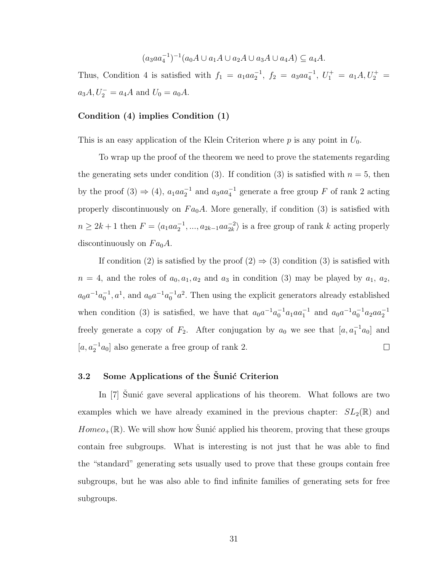$$
(a_3aa_4^{-1})^{-1}(a_0A\cup a_1A\cup a_2A\cup a_3A\cup a_4A)\subseteq a_4A.
$$

Thus, Condition 4 is satisfied with  $f_1 = a_1 a a_2^{-1}$ ,  $f_2 = a_3 a a_4^{-1}$ ,  $U_1^+ = a_1 A$ ,  $U_2^+ =$  $a_3A, U_2^- = a_4A$  and  $U_0 = a_0A$ .

## Condition (4) implies Condition (1)

This is an easy application of the Klein Criterion where  $p$  is any point in  $U_0$ .

To wrap up the proof of the theorem we need to prove the statements regarding the generating sets under condition (3). If condition (3) is satisfied with  $n = 5$ , then by the proof (3)  $\Rightarrow$  (4),  $a_1aa_2^{-1}$  and  $a_3aa_4^{-1}$  generate a free group F of rank 2 acting properly discontinuously on  $Fa<sub>0</sub>A$ . More generally, if condition (3) is satisfied with  $n \geq 2k+1$  then  $F = \langle a_1 a a_2^{-1}, ..., a_{2k-1} a a_{2k}^{-2} \rangle$  is a free group of rank k acting properly discontinuously on  $Fa<sub>0</sub>A$ .

If condition (2) is satisfied by the proof  $(2) \Rightarrow (3)$  condition (3) is satisfied with  $n = 4$ , and the roles of  $a_0, a_1, a_2$  and  $a_3$  in condition (3) may be played by  $a_1, a_2$ ,  $a_0a^{-1}a_0^{-1}$ ,  $a^1$ , and  $a_0a^{-1}a_0^{-1}a^2$ . Then using the explicit generators already established when condition (3) is satisfied, we have that  $a_0a^{-1}a_0^{-1}a_1aa_1^{-1}$  and  $a_0a^{-1}a_0^{-1}a_2aa_2^{-1}$ freely generate a copy of  $F_2$ . After conjugation by  $a_0$  we see that  $[a, a_1^{-1}a_0]$  and [ $a, a_2^{-1}a_0$ ] also generate a free group of rank 2.  $\Box$ 

## 3.2 Some Applications of the Sunic Criterion

In  $[7]$  Sunic gave several applications of his theorem. What follows are two examples which we have already examined in the previous chapter:  $SL_2(\mathbb{R})$  and  $Homeo_+(\mathbb{R})$ . We will show how Sunic applied his theorem, proving that these groups contain free subgroups. What is interesting is not just that he was able to find the "standard" generating sets usually used to prove that these groups contain free subgroups, but he was also able to find infinite families of generating sets for free subgroups.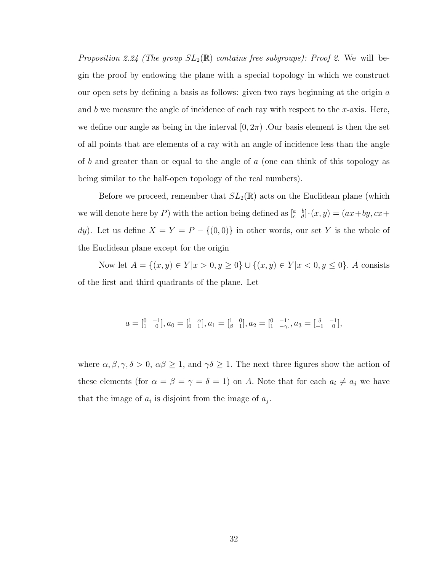Proposition 2.24 (The group  $SL_2(\mathbb{R})$  contains free subgroups): Proof 2. We will begin the proof by endowing the plane with a special topology in which we construct our open sets by defining a basis as follows: given two rays beginning at the origin a and b we measure the angle of incidence of each ray with respect to the x-axis. Here, we define our angle as being in the interval  $[0, 2\pi)$ . Our basis element is then the set of all points that are elements of a ray with an angle of incidence less than the angle of b and greater than or equal to the angle of a (one can think of this topology as being similar to the half-open topology of the real numbers).

Before we proceed, remember that  $SL_2(\mathbb{R})$  acts on the Euclidean plane (which we will denote here by P) with the action being defined as  $\begin{bmatrix} a & b \\ c & d \end{bmatrix} \cdot (x, y) = (ax + by, cx +$ dy). Let us define  $X = Y = P - \{(0,0)\}\$ in other words, our set Y is the whole of the Euclidean plane except for the origin

Now let  $A = \{(x, y) \in Y | x > 0, y \ge 0\} \cup \{(x, y) \in Y | x < 0, y \le 0\}$ . A consists of the first and third quadrants of the plane. Let

$$
a = \begin{bmatrix} 0 & -1 \\ 1 & 0 \end{bmatrix}, a_0 = \begin{bmatrix} 1 & \alpha \\ 0 & 1 \end{bmatrix}, a_1 = \begin{bmatrix} 1 & 0 \\ \beta & 1 \end{bmatrix}, a_2 = \begin{bmatrix} 0 & -1 \\ 1 & -\gamma \end{bmatrix}, a_3 = \begin{bmatrix} \delta & -1 \\ -1 & 0 \end{bmatrix},
$$

where  $\alpha, \beta, \gamma, \delta > 0$ ,  $\alpha\beta \geq 1$ , and  $\gamma\delta \geq 1$ . The next three figures show the action of these elements (for  $\alpha = \beta = \gamma = \delta = 1$ ) on A. Note that for each  $a_i \neq a_j$  we have that the image of  $a_i$  is disjoint from the image of  $a_j$ .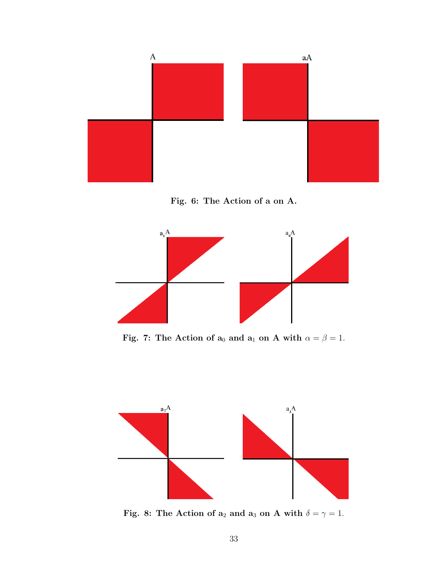

Fig. 6: The Action of a on A.



Fig. 7: The Action of  $a_0$  and  $a_1$  on A with  $\alpha = \beta = 1$ .



Fig. 8: The Action of  $a_2$  and  $a_3$  on A with  $\delta = \gamma = 1$ .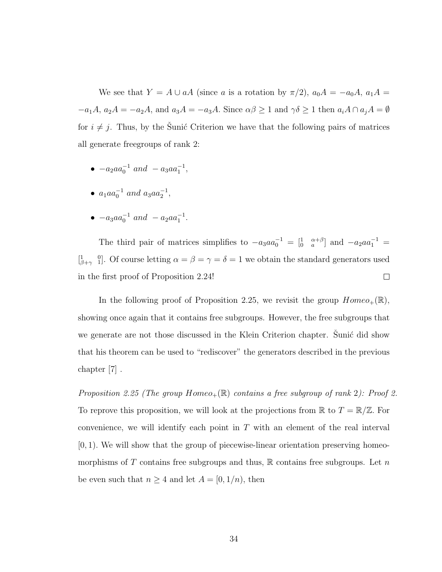We see that  $Y = A \cup aA$  (since a is a rotation by  $\pi/2$ ),  $a_0A = -a_0A$ ,  $a_1A =$  $-a_1A$ ,  $a_2A = -a_2A$ , and  $a_3A = -a_3A$ . Since  $\alpha\beta \ge 1$  and  $\gamma\delta \ge 1$  then  $a_iA \cap a_jA = \emptyset$ for  $i \neq j$ . Thus, by the Sunic Criterion we have that the following pairs of matrices all generate freegroups of rank 2:

- $-a_2aa_0^{-1}$  and  $-a_3aa_1^{-1}$ ,
- $a_1aa_0^{-1}$  and  $a_3aa_2^{-1}$ ,
- $-a_3aa_0^{-1}$  and  $-a_2aa_1^{-1}$ .

The third pair of matrices simplifies to  $-a_3aa_0^{-1} = \begin{bmatrix} 1 & \alpha+\beta \\ 0 & a \end{bmatrix}$  and  $-a_2aa_1^{-1} =$  $\begin{bmatrix} 1 & 0 \\ \beta + \gamma & 1 \end{bmatrix}$ . Of course letting  $\alpha = \beta = \gamma = \delta = 1$  we obtain the standard generators used in the first proof of Proposition 2.24!  $\Box$ 

In the following proof of Proposition 2.25, we revisit the group  $Homeo_+(\mathbb{R})$ , showing once again that it contains free subgroups. However, the free subgroups that we generate are not those discussed in the Klein Criterion chapter. Sunic did show that his theorem can be used to "rediscover" the generators described in the previous chapter [7] .

Proposition 2.25 (The group  $Homeo_+(\mathbb{R})$  contains a free subgroup of rank 2): Proof 2. To reprove this proposition, we will look at the projections from  $\mathbb R$  to  $T = \mathbb R/\mathbb Z$ . For convenience, we will identify each point in  $T$  with an element of the real interval  $[0, 1)$ . We will show that the group of piecewise-linear orientation preserving homeomorphisms of T contains free subgroups and thus,  $\mathbb R$  contains free subgroups. Let n be even such that  $n \geq 4$  and let  $A = [0, 1/n)$ , then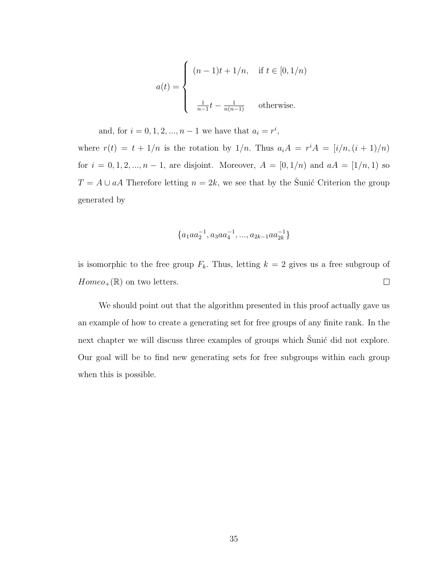$$
a(t) = \begin{cases} (n-1)t + 1/n, & \text{if } t \in [0, 1/n) \\ \frac{1}{n-1}t - \frac{1}{n(n-1)} & \text{otherwise.} \end{cases}
$$

and, for  $i = 0, 1, 2, ..., n - 1$  we have that  $a_i = r^i$ ,

where  $r(t) = t + 1/n$  is the rotation by  $1/n$ . Thus  $a_i A = r^i A = [i/n, (i + 1)/n]$ for  $i = 0, 1, 2, ..., n - 1$ , are disjoint. Moreover,  $A = [0, 1/n)$  and  $aA = [1/n, 1)$  so  $T = A \cup aA$  Therefore letting  $n = 2k$ , we see that by the Sunic Criterion the group generated by

$$
\{a_1aa_2^{-1},a_3aa_4^{-1},...,a_{2k-1}aa_{2k}^{-1}\}
$$

is isomorphic to the free group  $F_k$ . Thus, letting  $k = 2$  gives us a free subgroup of  $Homeo_+(\mathbb{R})$  on two letters.  $\Box$ 

We should point out that the algorithm presented in this proof actually gave us an example of how to create a generating set for free groups of any finite rank. In the next chapter we will discuss three examples of groups which Sunic did not explore. Our goal will be to find new generating sets for free subgroups within each group when this is possible.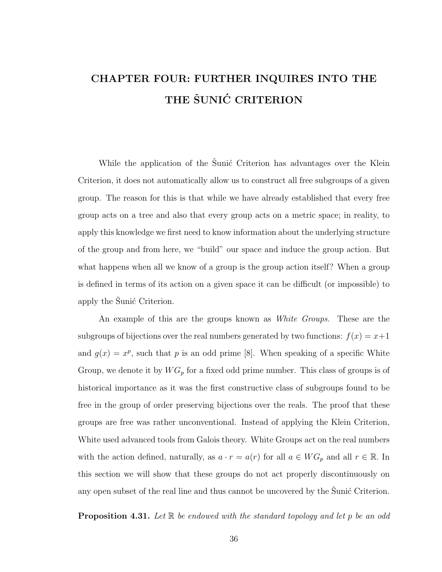# CHAPTER FOUR: FURTHER INQUIRES INTO THE THE ŠUNIĆ CRITERION

While the application of the Sunic Criterion has advantages over the Klein Criterion, it does not automatically allow us to construct all free subgroups of a given group. The reason for this is that while we have already established that every free group acts on a tree and also that every group acts on a metric space; in reality, to apply this knowledge we first need to know information about the underlying structure of the group and from here, we "build" our space and induce the group action. But what happens when all we know of a group is the group action itself? When a group is defined in terms of its action on a given space it can be difficult (or impossible) to apply the Sunic Criterion.

An example of this are the groups known as *White Groups*. These are the subgroups of bijections over the real numbers generated by two functions:  $f(x) = x+1$ and  $g(x) = x^p$ , such that p is an odd prime [8]. When speaking of a specific White Group, we denote it by  $WG_p$  for a fixed odd prime number. This class of groups is of historical importance as it was the first constructive class of subgroups found to be free in the group of order preserving bijections over the reals. The proof that these groups are free was rather unconventional. Instead of applying the Klein Criterion, White used advanced tools from Galois theory. White Groups act on the real numbers with the action defined, naturally, as  $a \cdot r = a(r)$  for all  $a \in WG_p$  and all  $r \in \mathbb{R}$ . In this section we will show that these groups do not act properly discontinuously on any open subset of the real line and thus cannot be uncovered by the Sunic Criterion.

**Proposition 4.31.** Let  $\mathbb{R}$  be endowed with the standard topology and let p be an odd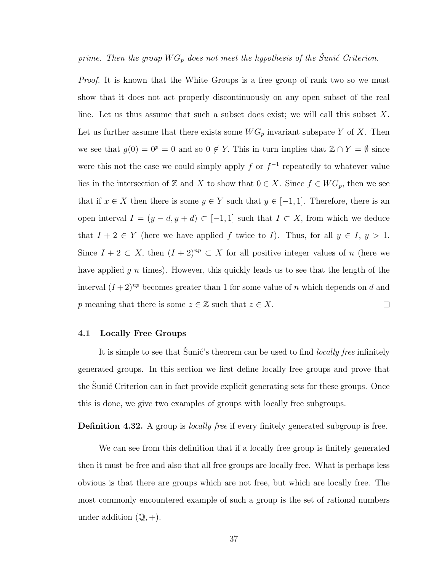## prime. Then the group  $WG_p$  does not meet the hypothesis of the Sunic Criterion.

*Proof.* It is known that the White Groups is a free group of rank two so we must show that it does not act properly discontinuously on any open subset of the real line. Let us thus assume that such a subset does exist; we will call this subset X. Let us further assume that there exists some  $WG_p$  invariant subspace Y of X. Then we see that  $g(0) = 0^p = 0$  and so  $0 \notin Y$ . This in turn implies that  $\mathbb{Z} \cap Y = \emptyset$  since were this not the case we could simply apply f or  $f^{-1}$  repeatedly to whatever value lies in the intersection of Z and X to show that  $0 \in X$ . Since  $f \in WG_p$ , then we see that if  $x \in X$  then there is some  $y \in Y$  such that  $y \in [-1,1]$ . Therefore, there is an open interval  $I = (y - d, y + d) \subset [-1, 1]$  such that  $I \subset X$ , from which we deduce that  $I + 2 \in Y$  (here we have applied f twice to I). Thus, for all  $y \in I$ ,  $y > 1$ . Since  $I + 2 \subset X$ , then  $(I + 2)^{np} \subset X$  for all positive integer values of n (here we have applied  $g \, n$  times). However, this quickly leads us to see that the length of the interval  $(I+2)^{np}$  becomes greater than 1 for some value of n which depends on d and p meaning that there is some  $z \in \mathbb{Z}$  such that  $z \in X$ .  $\Box$ 

#### 4.1 Locally Free Groups

It is simple to see that Sunic's theorem can be used to find *locally free* infinitely generated groups. In this section we first define locally free groups and prove that the Sunic Criterion can in fact provide explicit generating sets for these groups. Once this is done, we give two examples of groups with locally free subgroups.

**Definition 4.32.** A group is *locally free* if every finitely generated subgroup is free.

We can see from this definition that if a locally free group is finitely generated then it must be free and also that all free groups are locally free. What is perhaps less obvious is that there are groups which are not free, but which are locally free. The most commonly encountered example of such a group is the set of rational numbers under addition  $(\mathbb{Q}, +)$ .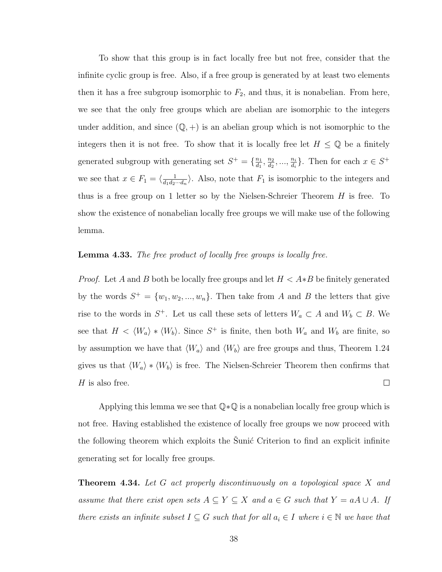To show that this group is in fact locally free but not free, consider that the infinite cyclic group is free. Also, if a free group is generated by at least two elements then it has a free subgroup isomorphic to  $F_2$ , and thus, it is nonabelian. From here, we see that the only free groups which are abelian are isomorphic to the integers under addition, and since  $(\mathbb{Q}, +)$  is an abelian group which is not isomorphic to the integers then it is not free. To show that it is locally free let  $H \leq \mathbb{Q}$  be a finitely generated subgroup with generating set  $S^+ = \{\frac{n_1}{d_1}\}$  $\frac{n_1}{d_1}, \frac{n_2}{d_2}$  $\frac{n_2}{d_2}, \dots, \frac{n_i}{d_i}$  $\frac{n_i}{d_i}$ . Then for each  $x \in S^+$ we see that  $x \in F_1 = \langle \frac{1}{d_1 d_2} \rangle$  $\frac{1}{d_1d_2\cdots d_n}$ . Also, note that  $F_1$  is isomorphic to the integers and thus is a free group on 1 letter so by the Nielsen-Schreier Theorem  $H$  is free. To show the existence of nonabelian locally free groups we will make use of the following lemma.

## **Lemma 4.33.** The free product of locally free groups is locally free.

*Proof.* Let A and B both be locally free groups and let  $H < A * B$  be finitely generated by the words  $S^+ = \{w_1, w_2, ..., w_n\}$ . Then take from A and B the letters that give rise to the words in  $S^+$ . Let us call these sets of letters  $W_a \subset A$  and  $W_b \subset B$ . We see that  $H \langle W_a \rangle * \langle W_b \rangle$ . Since  $S^+$  is finite, then both  $W_a$  and  $W_b$  are finite, so by assumption we have that  $\langle W_a \rangle$  and  $\langle W_b \rangle$  are free groups and thus, Theorem 1.24 gives us that  $\langle W_a \rangle * \langle W_b \rangle$  is free. The Nielsen-Schreier Theorem then confirms that  $\Box$  $H$  is also free.

Applying this lemma we see that Q∗Q is a nonabelian locally free group which is not free. Having established the existence of locally free groups we now proceed with the following theorem which exploits the Sunic Criterion to find an explicit infinite generating set for locally free groups.

**Theorem 4.34.** Let G act properly discontinuously on a topological space X and assume that there exist open sets  $A \subseteq Y \subseteq X$  and  $a \in G$  such that  $Y = aA \cup A$ . If there exists an infinite subset  $I \subseteq G$  such that for all  $a_i \in I$  where  $i \in \mathbb{N}$  we have that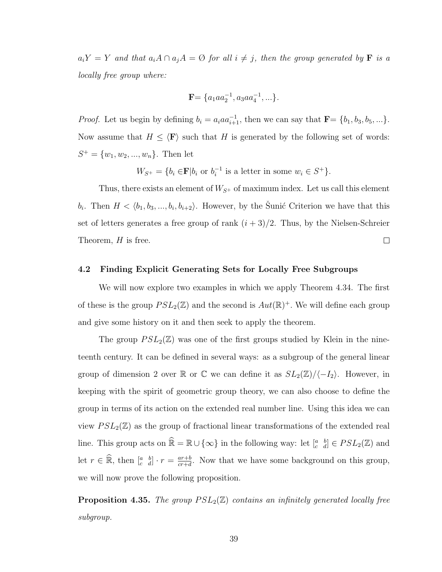$a_iY = Y$  and that  $a_iA \cap a_jA = \emptyset$  for all  $i \neq j$ , then the group generated by **F** is a locally free group where:

$$
\mathbf{F} = \{a_1aa_2^{-1}, a_3aa_4^{-1}, \ldots\}.
$$

*Proof.* Let us begin by defining  $b_i = a_i a a_{i+1}^{-1}$ , then we can say that  $\mathbf{F} = \{b_1, b_3, b_5, ...\}$ . Now assume that  $H \leq \langle \mathbf{F} \rangle$  such that H is generated by the following set of words:  $S^+ = \{w_1, w_2, ..., w_n\}$ . Then let

> $W_{S^+} = \{b_i \in \mathbf{F} | b_i \text{ or } b_i^{-1}\}$  $i^{-1}$  is a letter in some  $w_i \in S^+$ .

Thus, there exists an element of  $W_{S^+}$  of maximum index. Let us call this element  $b_i$ . Then  $H \langle b_1, b_3, ..., b_i, b_{i+2} \rangle$ . However, by the Sunic Criterion we have that this set of letters generates a free group of rank  $(i+3)/2$ . Thus, by the Nielsen-Schreier  $\Box$ Theorem,  $H$  is free.

### 4.2 Finding Explicit Generating Sets for Locally Free Subgroups

We will now explore two examples in which we apply Theorem 4.34. The first of these is the group  $PSL_2(\mathbb{Z})$  and the second is  $Aut(\mathbb{R})^+$ . We will define each group and give some history on it and then seek to apply the theorem.

The group  $PSL_2(\mathbb{Z})$  was one of the first groups studied by Klein in the nineteenth century. It can be defined in several ways: as a subgroup of the general linear group of dimension 2 over R or C we can define it as  $SL_2(\mathbb{Z})/\langle -I_2 \rangle$ . However, in keeping with the spirit of geometric group theory, we can also choose to define the group in terms of its action on the extended real number line. Using this idea we can view  $PSL_2(\mathbb{Z})$  as the group of fractional linear transformations of the extended real line. This group acts on  $\widehat{\mathbb{R}} = \mathbb{R} \cup \{\infty\}$  in the following way: let  $\begin{bmatrix} a & b \\ c & d \end{bmatrix} \in PSL_2(\mathbb{Z})$  and let  $r \in \widehat{\mathbb{R}}$ , then  $\left[\begin{smallmatrix} a & b \\ c & d \end{smallmatrix}\right] \cdot r = \frac{ar+b}{cr+d}$  $\frac{ar+b}{cr+d}$ . Now that we have some background on this group, we will now prove the following proposition.

**Proposition 4.35.** The group  $PSL_2(\mathbb{Z})$  contains an infinitely generated locally free subgroup.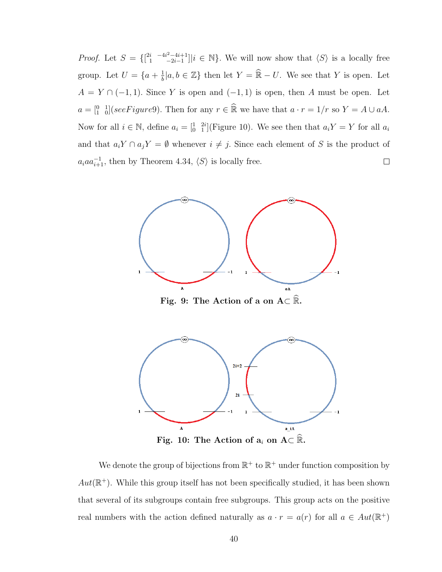*Proof.* Let  $S = \begin{cases} \begin{bmatrix} 2i & -4i^2 - 4i + 1 \\ 1 & -2i - 1 \end{bmatrix} \end{cases}$  $\binom{i}{1} \frac{-4i^2-4i+1}{-2i-1} |i \in \mathbb{N}$ . We will now show that  $\langle S \rangle$  is a locally free  $\frac{1}{b} |a, b \in \mathbb{Z} \}$  then let  $Y = \widehat{\mathbb{R}} - U$ . We see that Y is open. Let group. Let  $U = \{a + \frac{1}{b}\}$  $A = Y \cap (-1, 1)$ . Since Y is open and  $(-1, 1)$  is open, then A must be open. Let  $a = \begin{bmatrix} 0 & 1 \\ 1 & 0 \end{bmatrix}$  (see Figure 9). Then for any  $r \in \mathbb{R}$  we have that  $a \cdot r = 1/r$  so  $Y = A \cup aA$ . Now for all  $i \in \mathbb{N}$ , define  $a_i = \begin{bmatrix} 1 & 2i \\ 0 & 1 \end{bmatrix}$  (Figure 10). We see then that  $a_i Y = Y$  for all  $a_i$ and that  $a_i Y \cap a_j Y = \emptyset$  whenever  $i \neq j$ . Since each element of S is the product of  $a_i a a_{i+1}^{-1}$ , then by Theorem 4.34,  $\langle S \rangle$  is locally free.  $\Box$ 



Fig. 9: The Action of a on  $A\subset \mathbb{R}$ .



Fig. 10: The Action of  $a_i$  on  $A\subset \mathbb{R}$ .

We denote the group of bijections from  $\mathbb{R}^+$  to  $\mathbb{R}^+$  under function composition by  $Aut(\mathbb{R}^+)$ . While this group itself has not been specifically studied, it has been shown that several of its subgroups contain free subgroups. This group acts on the positive real numbers with the action defined naturally as  $a \cdot r = a(r)$  for all  $a \in Aut(\mathbb{R}^+)$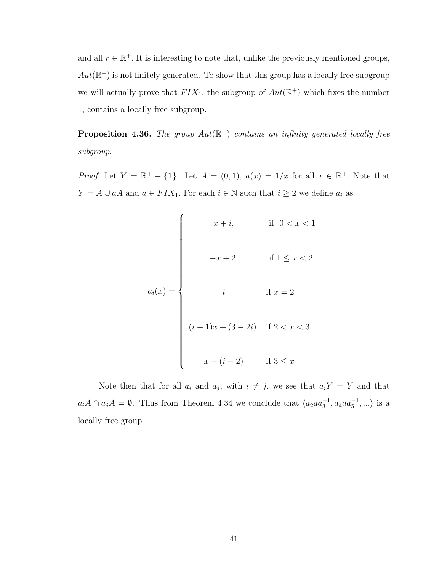and all  $r \in \mathbb{R}^+$ . It is interesting to note that, unlike the previously mentioned groups,  $Aut(\mathbb{R}^+)$  is not finitely generated. To show that this group has a locally free subgroup we will actually prove that  $FIN_1$ , the subgroup of  $Aut(\mathbb{R}^+)$  which fixes the number 1, contains a locally free subgroup.

**Proposition 4.36.** The group  $Aut(\mathbb{R}^+)$  contains an infinity generated locally free subgroup.

*Proof.* Let  $Y = \mathbb{R}^+ - \{1\}$ . Let  $A = (0,1)$ ,  $a(x) = 1/x$  for all  $x \in \mathbb{R}^+$ . Note that  $Y = A \cup aA$  and  $a \in FIX_1$ . For each  $i \in \mathbb{N}$  such that  $i \geq 2$  we define  $a_i$  as

$$
a_i(x) = \begin{cases}\n & x + i, & \text{if } 0 < x < 1 \\
& -x + 2, & \text{if } 1 \le x < 2 \\
& i & \text{if } x = 2 \\
& (i - 1)x + (3 - 2i), & \text{if } 2 < x < 3 \\
& x + (i - 2) & \text{if } 3 \le x\n\end{cases}
$$

Note then that for all  $a_i$  and  $a_j$ , with  $i \neq j$ , we see that  $a_iY = Y$  and that  $a_iA \cap a_jA = \emptyset$ . Thus from Theorem 4.34 we conclude that  $\langle a_2aa_3^{-1}, a_4aa_5^{-1}, \ldots \rangle$  is a locally free group.  $\Box$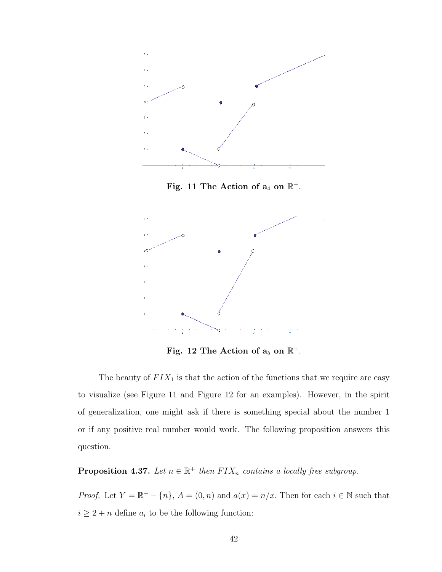

Fig. 11 The Action of  $a_4$  on  $\mathbb{R}^+$ .



Fig. 12 The Action of  $a_5$  on  $\mathbb{R}^+$ .

The beauty of  $FIX_1$  is that the action of the functions that we require are easy to visualize (see Figure 11 and Figure 12 for an examples). However, in the spirit of generalization, one might ask if there is something special about the number 1 or if any positive real number would work. The following proposition answers this question.

**Proposition 4.37.** Let  $n \in \mathbb{R}^+$  then  $FIX_n$  contains a locally free subgroup.

*Proof.* Let  $Y = \mathbb{R}^+ - \{n\}$ ,  $A = (0, n)$  and  $a(x) = n/x$ . Then for each  $i \in \mathbb{N}$  such that  $i\geq 2+n$  define  $a_i$  to be the following function: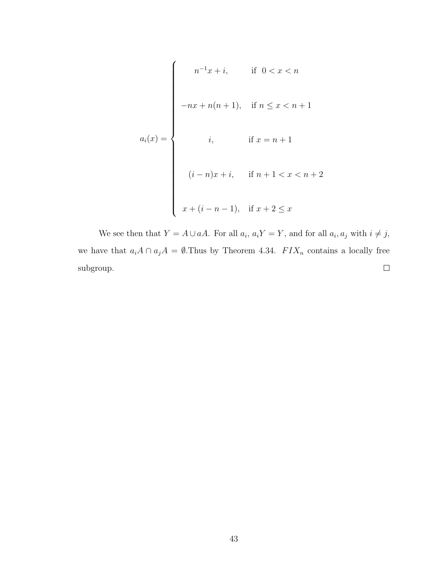$$
a_i(x) = \begin{cases} n^{-1}x + i, & \text{if } 0 < x < n \\ \n-nx + n(n+1), & \text{if } n \le x < n+1 \\ \ni, & \text{if } x = n+1 \\ \n(i-n)x + i, & \text{if } n+1 < x < n+2 \\ \nx + (i - n - 1), & \text{if } x + 2 \le x \n\end{cases}
$$

We see then that  $Y = A \cup aA$ . For all  $a_i$ ,  $a_i Y = Y$ , and for all  $a_i$ ,  $a_j$  with  $i \neq j$ , we have that  $a_iA \cap a_jA = \emptyset$ . Thus by Theorem 4.34.  $FIX_n$  contains a locally free  $\Box$ subgroup.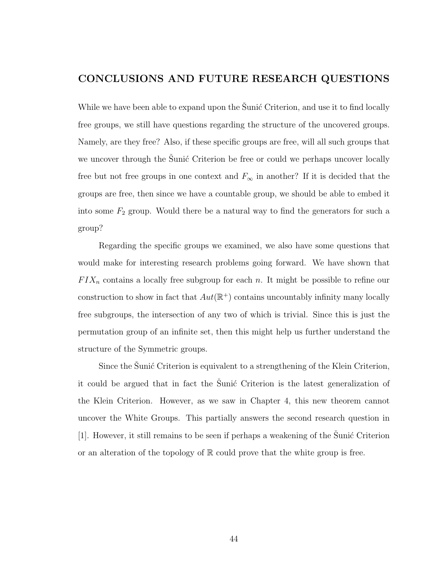## CONCLUSIONS AND FUTURE RESEARCH QUESTIONS

While we have been able to expand upon the Sunic Criterion, and use it to find locally free groups, we still have questions regarding the structure of the uncovered groups. Namely, are they free? Also, if these specific groups are free, will all such groups that we uncover through the Sunic Criterion be free or could we perhaps uncover locally free but not free groups in one context and  $F_{\infty}$  in another? If it is decided that the groups are free, then since we have a countable group, we should be able to embed it into some  $F_2$  group. Would there be a natural way to find the generators for such a group?

Regarding the specific groups we examined, we also have some questions that would make for interesting research problems going forward. We have shown that  $F I X_n$  contains a locally free subgroup for each n. It might be possible to refine our construction to show in fact that  $Aut(\mathbb{R}^+)$  contains uncountably infinity many locally free subgroups, the intersection of any two of which is trivial. Since this is just the permutation group of an infinite set, then this might help us further understand the structure of the Symmetric groups.

Since the Sunic Criterion is equivalent to a strengthening of the Klein Criterion, it could be argued that in fact the Sunic Criterion is the latest generalization of the Klein Criterion. However, as we saw in Chapter 4, this new theorem cannot uncover the White Groups. This partially answers the second research question in  $[1]$ . However, it still remains to be seen if perhaps a weakening of the Sunic Criterion or an alteration of the topology of  $\mathbb R$  could prove that the white group is free.